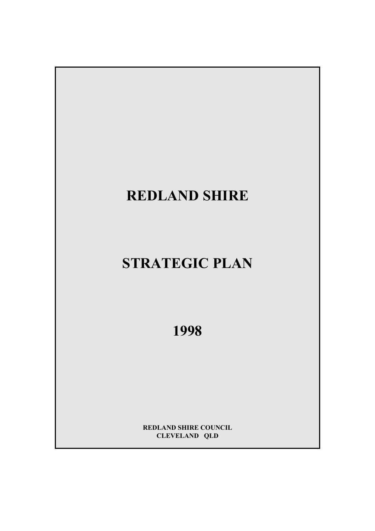# **REDLAND SHIRE**

# **STRATEGIC PLAN**

**1998** 

**REDLAND SHIRE COUNCIL CLEVELAND QLD**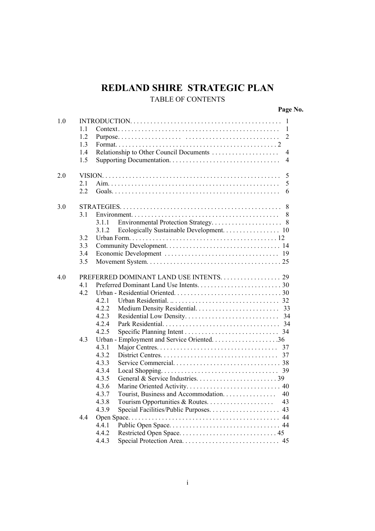## **REDLAND SHIRE STRATEGIC PLAN**  TABLE OF CONTENTS

## **Page No.**

| 1.0     | 1.1<br>1.2<br>1.3<br>1.4<br>1.5 | 1<br>$\overline{2}$<br>$\overline{4}$<br>$\overline{4}$                                                                                                                                                               |  |  |
|---------|---------------------------------|-----------------------------------------------------------------------------------------------------------------------------------------------------------------------------------------------------------------------|--|--|
| $2.0\,$ | 2.1<br>2.2                      | 5<br>5<br>6                                                                                                                                                                                                           |  |  |
| 3.0     | 3.1                             | 8<br>8<br>3.1.1<br>3.1.2                                                                                                                                                                                              |  |  |
|         | 3.2                             |                                                                                                                                                                                                                       |  |  |
|         | 3.3                             |                                                                                                                                                                                                                       |  |  |
|         | 3.4                             |                                                                                                                                                                                                                       |  |  |
|         | 3.5                             |                                                                                                                                                                                                                       |  |  |
| 4.0     | 4.1                             |                                                                                                                                                                                                                       |  |  |
|         | 4.2                             | 4.2.1<br>4.2.2<br>4.2.3<br>4.2.4<br>4.2.5                                                                                                                                                                             |  |  |
|         | 4.3                             | Urban - Employment and Service Oriented36<br>4.3.1<br>4.3.2<br>4.3.3<br>4.3.4<br>4.3.5<br>4.3.6<br>4.3.7<br>Tourist, Business and Accommodation<br>40<br>4.3.8<br>Tourism Opportunities & Routes<br>43<br>4.3.9<br>43 |  |  |
|         | 4.4                             | 44<br>4.4.1<br>4.4.2<br>4.4.3<br>45                                                                                                                                                                                   |  |  |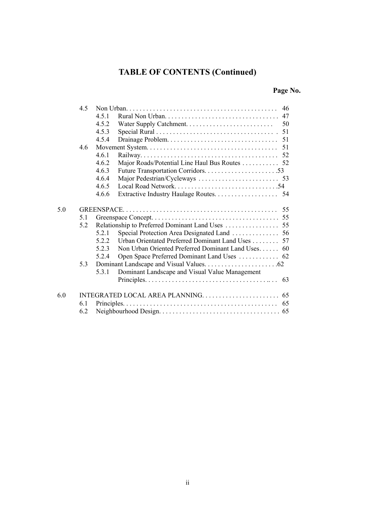# **TABLE OF CONTENTS (Continued)**

## **Page No.**

|     | 4.5 |       |                                                    | 46 |  |  |
|-----|-----|-------|----------------------------------------------------|----|--|--|
|     |     | 4.5.1 |                                                    | 47 |  |  |
|     |     | 4.5.2 |                                                    | 50 |  |  |
|     |     | 4.5.3 |                                                    |    |  |  |
|     |     | 454   |                                                    |    |  |  |
|     | 4.6 |       |                                                    | 51 |  |  |
|     |     | 4.6.1 |                                                    |    |  |  |
|     |     | 4.6.2 | Major Roads/Potential Line Haul Bus Routes 52      |    |  |  |
|     |     | 4.6.3 |                                                    |    |  |  |
|     |     | 4.6.4 |                                                    |    |  |  |
|     |     | 4.6.5 |                                                    |    |  |  |
|     |     | 4.6.6 |                                                    |    |  |  |
| 5.0 |     |       |                                                    |    |  |  |
|     | 5.1 |       |                                                    |    |  |  |
|     | 5.2 |       |                                                    |    |  |  |
|     |     | 5.2.1 |                                                    |    |  |  |
|     |     | 522   | Urban Orientated Preferred Dominant Land Uses 57   |    |  |  |
|     |     | 5.2.3 | Non Urban Oriented Preferred Dominant Land Uses 60 |    |  |  |
|     |     | 5.2.4 |                                                    |    |  |  |
|     | 5.3 |       |                                                    |    |  |  |
|     |     | 5.3.1 | Dominant Landscape and Visual Value Management     |    |  |  |
|     |     |       |                                                    |    |  |  |
| 6.0 |     |       |                                                    |    |  |  |
|     | 6.1 |       |                                                    | 65 |  |  |
|     | 6.2 |       |                                                    |    |  |  |
|     |     |       |                                                    |    |  |  |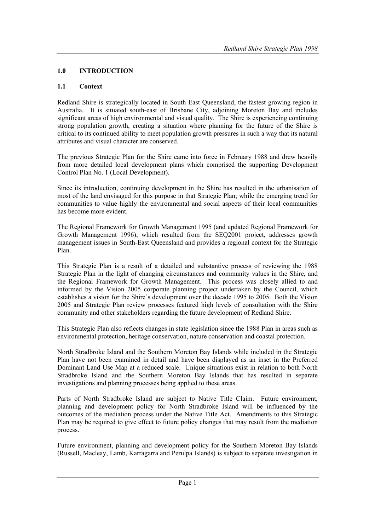## **1.0 INTRODUCTION**

## **1.1 Context**

Redland Shire is strategically located in South East Queensland, the fastest growing region in Australia. It is situated south-east of Brisbane City, adjoining Moreton Bay and includes significant areas of high environmental and visual quality. The Shire is experiencing continuing strong population growth, creating a situation where planning for the future of the Shire is critical to its continued ability to meet population growth pressures in such a way that its natural attributes and visual character are conserved.

The previous Strategic Plan for the Shire came into force in February 1988 and drew heavily from more detailed local development plans which comprised the supporting Development Control Plan No. 1 (Local Development).

Since its introduction, continuing development in the Shire has resulted in the urbanisation of most of the land envisaged for this purpose in that Strategic Plan; while the emerging trend for communities to value highly the environmental and social aspects of their local communities has become more evident.

The Regional Framework for Growth Management 1995 (and updated Regional Framework for Growth Management 1996), which resulted from the SEQ2001 project, addresses growth management issues in South-East Queensland and provides a regional context for the Strategic Plan.

This Strategic Plan is a result of a detailed and substantive process of reviewing the 1988 Strategic Plan in the light of changing circumstances and community values in the Shire, and the Regional Framework for Growth Management. This process was closely allied to and informed by the Vision 2005 corporate planning project undertaken by the Council, which establishes a vision for the Shire's development over the decade 1995 to 2005. Both the Vision 2005 and Strategic Plan review processes featured high levels of consultation with the Shire community and other stakeholders regarding the future development of Redland Shire.

This Strategic Plan also reflects changes in state legislation since the 1988 Plan in areas such as environmental protection, heritage conservation, nature conservation and coastal protection.

North Stradbroke Island and the Southern Moreton Bay Islands while included in the Strategic Plan have not been examined in detail and have been displayed as an inset in the Preferred Dominant Land Use Map at a reduced scale. Unique situations exist in relation to both North Stradbroke Island and the Southern Moreton Bay Islands that has resulted in separate investigations and planning processes being applied to these areas.

Parts of North Stradbroke Island are subject to Native Title Claim. Future environment, planning and development policy for North Stradbroke Island will be influenced by the outcomes of the mediation process under the Native Title Act. Amendments to this Strategic Plan may be required to give effect to future policy changes that may result from the mediation process.

Future environment, planning and development policy for the Southern Moreton Bay Islands (Russell, Macleay, Lamb, Karragarra and Perulpa Islands) is subject to separate investigation in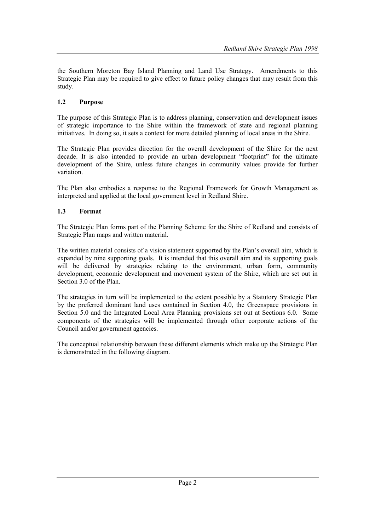the Southern Moreton Bay Island Planning and Land Use Strategy. Amendments to this Strategic Plan may be required to give effect to future policy changes that may result from this study.

## **1.2 Purpose**

The purpose of this Strategic Plan is to address planning, conservation and development issues of strategic importance to the Shire within the framework of state and regional planning initiatives. In doing so, it sets a context for more detailed planning of local areas in the Shire.

The Strategic Plan provides direction for the overall development of the Shire for the next decade. It is also intended to provide an urban development "footprint" for the ultimate development of the Shire, unless future changes in community values provide for further variation.

The Plan also embodies a response to the Regional Framework for Growth Management as interpreted and applied at the local government level in Redland Shire.

## **1.3 Format**

The Strategic Plan forms part of the Planning Scheme for the Shire of Redland and consists of Strategic Plan maps and written material.

The written material consists of a vision statement supported by the Plan's overall aim, which is expanded by nine supporting goals. It is intended that this overall aim and its supporting goals will be delivered by strategies relating to the environment, urban form, community development, economic development and movement system of the Shire, which are set out in Section 3.0 of the Plan.

The strategies in turn will be implemented to the extent possible by a Statutory Strategic Plan by the preferred dominant land uses contained in Section 4.0, the Greenspace provisions in Section 5.0 and the Integrated Local Area Planning provisions set out at Sections 6.0. Some components of the strategies will be implemented through other corporate actions of the Council and/or government agencies.

The conceptual relationship between these different elements which make up the Strategic Plan is demonstrated in the following diagram.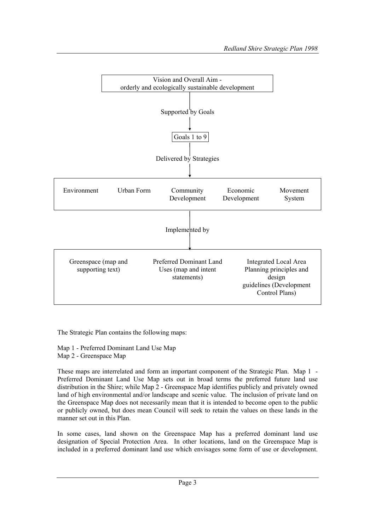

The Strategic Plan contains the following maps:

Map 1 - Preferred Dominant Land Use Map Map 2 - Greenspace Map

These maps are interrelated and form an important component of the Strategic Plan. Map 1 - Preferred Dominant Land Use Map sets out in broad terms the preferred future land use distribution in the Shire; while Map 2 - Greenspace Map identifies publicly and privately owned land of high environmental and/or landscape and scenic value. The inclusion of private land on the Greenspace Map does not necessarily mean that it is intended to become open to the public or publicly owned, but does mean Council will seek to retain the values on these lands in the manner set out in this Plan.

In some cases, land shown on the Greenspace Map has a preferred dominant land use designation of Special Protection Area. In other locations, land on the Greenspace Map is included in a preferred dominant land use which envisages some form of use or development.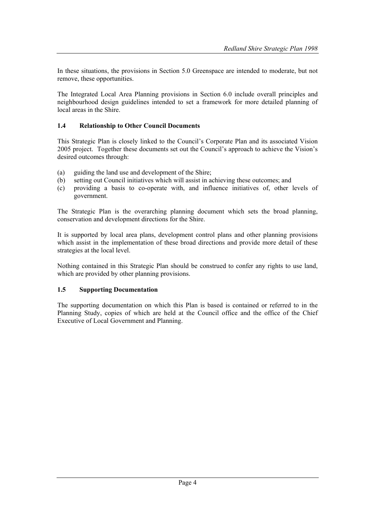In these situations, the provisions in Section 5.0 Greenspace are intended to moderate, but not remove, these opportunities.

The Integrated Local Area Planning provisions in Section 6.0 include overall principles and neighbourhood design guidelines intended to set a framework for more detailed planning of local areas in the Shire.

## **1.4 Relationship to Other Council Documents**

This Strategic Plan is closely linked to the Council's Corporate Plan and its associated Vision 2005 project. Together these documents set out the Council's approach to achieve the Vision's desired outcomes through:

- (a) guiding the land use and development of the Shire;
- (b) setting out Council initiatives which will assist in achieving these outcomes; and
- (c) providing a basis to co-operate with, and influence initiatives of, other levels of government.

The Strategic Plan is the overarching planning document which sets the broad planning, conservation and development directions for the Shire.

It is supported by local area plans, development control plans and other planning provisions which assist in the implementation of these broad directions and provide more detail of these strategies at the local level.

Nothing contained in this Strategic Plan should be construed to confer any rights to use land, which are provided by other planning provisions.

## **1.5 Supporting Documentation**

The supporting documentation on which this Plan is based is contained or referred to in the Planning Study, copies of which are held at the Council office and the office of the Chief Executive of Local Government and Planning.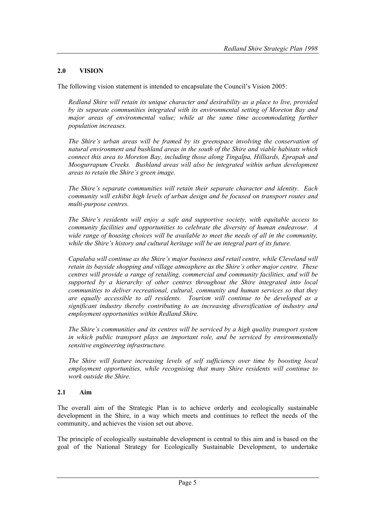## **2.0 VISION**

The following vision statement is intended to encapsulate the Council's Vision 2005:

*Redland Shire will retain its unique character and desirability as a place to live, provided by its separate communities integrated with its environmental setting of Moreton Bay and major areas of environmental value; while at the same time accommodating further population increases.* 

*The Shire's urban areas will be framed by its greenspace involving the conservation of natural environment and bushland areas in the south of the Shire and viable habitats which connect this area to Moreton Bay, including those along Tingalpa, Hilliards, Eprapah and Moogurrapum Creeks. Bushland areas will also be integrated within urban development areas to retain the Shire's green image.* 

*The Shire's separate communities will retain their separate character and identity. Each community will exhibit high levels of urban design and be focused on transport routes and multi-purpose centres.* 

*The Shire's residents will enjoy a safe and supportive society, with equitable access to community facilities and opportunities to celebrate the diversity of human endeavour. A wide range of housing choices will be available to meet the needs of all in the community, while the Shire's history and cultural heritage will be an integral part of its future.* 

*Capalaba will continue as the Shire's major business and retail centre, while Cleveland will retain its bayside shopping and village atmosphere as the Shire's other major centre. These centres will provide a range of retailing, commercial and community facilities, and will be supported by a hierarchy of other centres throughout the Shire integrated into local communities to deliver recreational, cultural, community and human services so that they are equally accessible to all residents. Tourism will continue to be developed as a significant industry thereby contributing to an increasing diversification of industry and employment opportunities within Redland Shire.* 

*The Shire's communities and its centres will be serviced by a high quality transport system in which public transport plays an important role, and be serviced by environmentally sensitive engineering infrastructure.* 

*The Shire will feature increasing levels of self sufficiency over time by boosting local employment opportunities, while recognising that many Shire residents will continue to work outside the Shire.* 

## **2.1 Aim**

The overall aim of the Strategic Plan is to achieve orderly and ecologically sustainable development in the Shire, in a way which meets and continues to reflect the needs of the community, and achieves the vision set out above.

The principle of ecologically sustainable development is central to this aim and is based on the goal of the National Strategy for Ecologically Sustainable Development, to undertake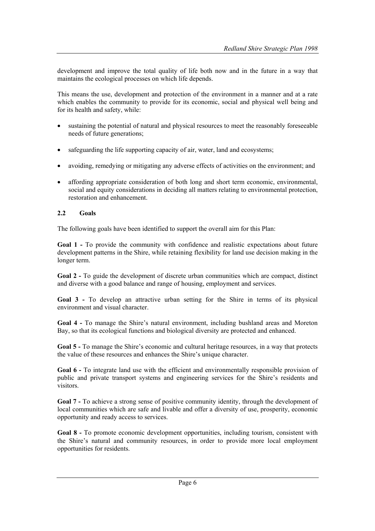development and improve the total quality of life both now and in the future in a way that maintains the ecological processes on which life depends.

This means the use, development and protection of the environment in a manner and at a rate which enables the community to provide for its economic, social and physical well being and for its health and safety, while:

- sustaining the potential of natural and physical resources to meet the reasonably foreseeable needs of future generations;
- safeguarding the life supporting capacity of air, water, land and ecosystems;
- avoiding, remedying or mitigating any adverse effects of activities on the environment; and
- affording appropriate consideration of both long and short term economic, environmental, social and equity considerations in deciding all matters relating to environmental protection, restoration and enhancement.

## **2.2 Goals**

The following goals have been identified to support the overall aim for this Plan:

**Goal 1 -** To provide the community with confidence and realistic expectations about future development patterns in the Shire, while retaining flexibility for land use decision making in the longer term.

**Goal 2 -** To guide the development of discrete urban communities which are compact, distinct and diverse with a good balance and range of housing, employment and services.

**Goal 3 -** To develop an attractive urban setting for the Shire in terms of its physical environment and visual character.

**Goal 4 -** To manage the Shire's natural environment, including bushland areas and Moreton Bay, so that its ecological functions and biological diversity are protected and enhanced.

**Goal 5 -** To manage the Shire's economic and cultural heritage resources, in a way that protects the value of these resources and enhances the Shire's unique character.

**Goal 6 -** To integrate land use with the efficient and environmentally responsible provision of public and private transport systems and engineering services for the Shire's residents and visitors.

**Goal 7 -** To achieve a strong sense of positive community identity, through the development of local communities which are safe and livable and offer a diversity of use, prosperity, economic opportunity and ready access to services.

**Goal 8 -** To promote economic development opportunities, including tourism, consistent with the Shire's natural and community resources, in order to provide more local employment opportunities for residents.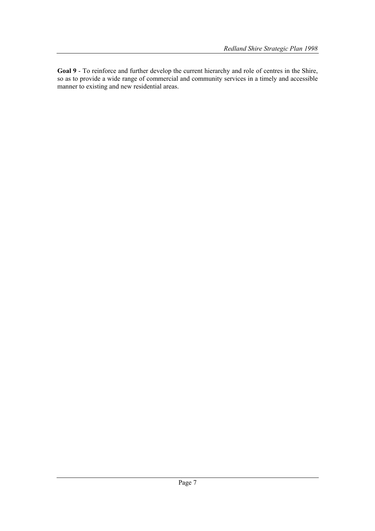**Goal 9** - To reinforce and further develop the current hierarchy and role of centres in the Shire, so as to provide a wide range of commercial and community services in a timely and accessible manner to existing and new residential areas.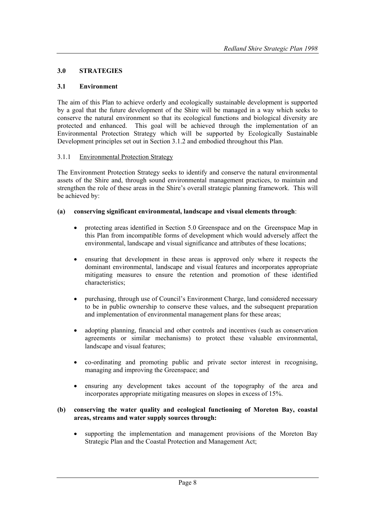## **3.0 STRATEGIES**

## **3.1 Environment**

The aim of this Plan to achieve orderly and ecologically sustainable development is supported by a goal that the future development of the Shire will be managed in a way which seeks to conserve the natural environment so that its ecological functions and biological diversity are protected and enhanced. This goal will be achieved through the implementation of an Environmental Protection Strategy which will be supported by Ecologically Sustainable Development principles set out in Section 3.1.2 and embodied throughout this Plan.

## 3.1.1 Environmental Protection Strategy

The Environment Protection Strategy seeks to identify and conserve the natural environmental assets of the Shire and, through sound environmental management practices, to maintain and strengthen the role of these areas in the Shire's overall strategic planning framework. This will be achieved by:

## **(a) conserving significant environmental, landscape and visual elements through**:

- protecting areas identified in Section 5.0 Greenspace and on the Greenspace Map in this Plan from incompatible forms of development which would adversely affect the environmental, landscape and visual significance and attributes of these locations;
- ensuring that development in these areas is approved only where it respects the dominant environmental, landscape and visual features and incorporates appropriate mitigating measures to ensure the retention and promotion of these identified characteristics;
- purchasing, through use of Council's Environment Charge, land considered necessary to be in public ownership to conserve these values, and the subsequent preparation and implementation of environmental management plans for these areas;
- adopting planning, financial and other controls and incentives (such as conservation agreements or similar mechanisms) to protect these valuable environmental, landscape and visual features;
- co-ordinating and promoting public and private sector interest in recognising, managing and improving the Greenspace; and
- ensuring any development takes account of the topography of the area and incorporates appropriate mitigating measures on slopes in excess of 15%.

## **(b) conserving the water quality and ecological functioning of Moreton Bay, coastal areas, streams and water supply sources through:**

• supporting the implementation and management provisions of the Moreton Bay Strategic Plan and the Coastal Protection and Management Act;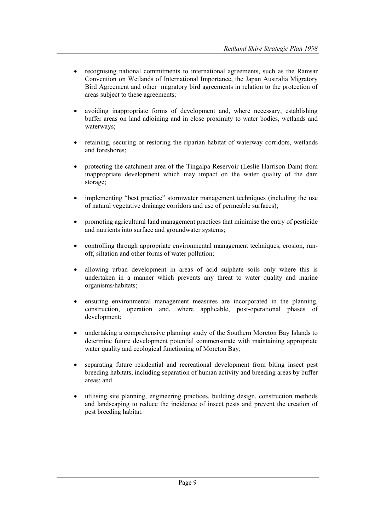- recognising national commitments to international agreements, such as the Ramsar Convention on Wetlands of International Importance, the Japan Australia Migratory Bird Agreement and other migratory bird agreements in relation to the protection of areas subject to these agreements;
- avoiding inappropriate forms of development and, where necessary, establishing buffer areas on land adjoining and in close proximity to water bodies, wetlands and waterways;
- retaining, securing or restoring the riparian habitat of waterway corridors, wetlands and foreshores;
- protecting the catchment area of the Tingalpa Reservoir (Leslie Harrison Dam) from inappropriate development which may impact on the water quality of the dam storage;
- implementing "best practice" stormwater management techniques (including the use of natural vegetative drainage corridors and use of permeable surfaces);
- promoting agricultural land management practices that minimise the entry of pesticide and nutrients into surface and groundwater systems;
- controlling through appropriate environmental management techniques, erosion, runoff, siltation and other forms of water pollution;
- allowing urban development in areas of acid sulphate soils only where this is undertaken in a manner which prevents any threat to water quality and marine organisms/habitats;
- ensuring environmental management measures are incorporated in the planning, construction, operation and, where applicable, post-operational phases of development;
- undertaking a comprehensive planning study of the Southern Moreton Bay Islands to determine future development potential commensurate with maintaining appropriate water quality and ecological functioning of Moreton Bay;
- separating future residential and recreational development from biting insect pest breeding habitats, including separation of human activity and breeding areas by buffer areas; and
- utilising site planning, engineering practices, building design, construction methods and landscaping to reduce the incidence of insect pests and prevent the creation of pest breeding habitat.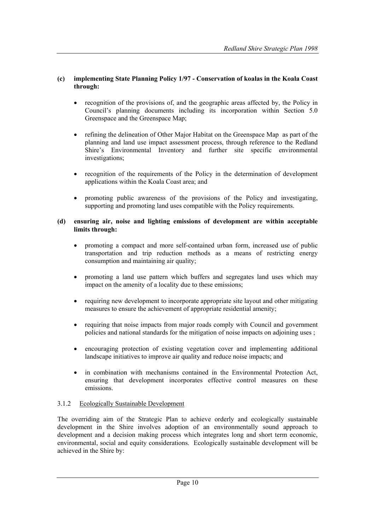## **(c) implementing State Planning Policy 1/97 - Conservation of koalas in the Koala Coast through:**

- recognition of the provisions of, and the geographic areas affected by, the Policy in Council's planning documents including its incorporation within Section 5.0 Greenspace and the Greenspace Map;
- refining the delineation of Other Major Habitat on the Greenspace Map as part of the planning and land use impact assessment process, through reference to the Redland Shire's Environmental Inventory and further site specific environmental investigations;
- recognition of the requirements of the Policy in the determination of development applications within the Koala Coast area; and
- promoting public awareness of the provisions of the Policy and investigating, supporting and promoting land uses compatible with the Policy requirements.

#### **(d) ensuring air, noise and lighting emissions of development are within acceptable limits through:**

- promoting a compact and more self-contained urban form, increased use of public transportation and trip reduction methods as a means of restricting energy consumption and maintaining air quality;
- promoting a land use pattern which buffers and segregates land uses which may impact on the amenity of a locality due to these emissions;
- requiring new development to incorporate appropriate site layout and other mitigating measures to ensure the achievement of appropriate residential amenity;
- requiring that noise impacts from major roads comply with Council and government policies and national standards for the mitigation of noise impacts on adjoining uses ;
- encouraging protection of existing vegetation cover and implementing additional landscape initiatives to improve air quality and reduce noise impacts; and
- in combination with mechanisms contained in the Environmental Protection Act, ensuring that development incorporates effective control measures on these emissions.

## 3.1.2 Ecologically Sustainable Development

The overriding aim of the Strategic Plan to achieve orderly and ecologically sustainable development in the Shire involves adoption of an environmentally sound approach to development and a decision making process which integrates long and short term economic, environmental, social and equity considerations. Ecologically sustainable development will be achieved in the Shire by: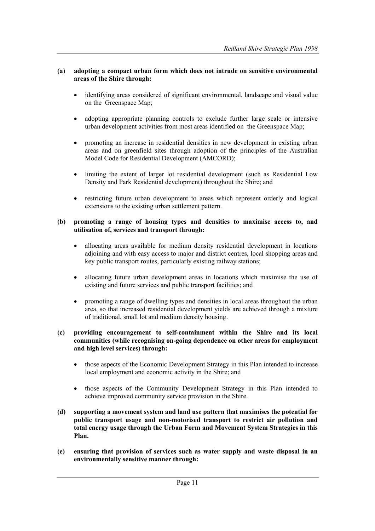#### **(a) adopting a compact urban form which does not intrude on sensitive environmental areas of the Shire through:**

- identifying areas considered of significant environmental, landscape and visual value on the Greenspace Map;
- adopting appropriate planning controls to exclude further large scale or intensive urban development activities from most areas identified on the Greenspace Map;
- promoting an increase in residential densities in new development in existing urban areas and on greenfield sites through adoption of the principles of the Australian Model Code for Residential Development (AMCORD);
- limiting the extent of larger lot residential development (such as Residential Low Density and Park Residential development) throughout the Shire; and
- restricting future urban development to areas which represent orderly and logical extensions to the existing urban settlement pattern.

#### **(b) promoting a range of housing types and densities to maximise access to, and utilisation of, services and transport through:**

- allocating areas available for medium density residential development in locations adjoining and with easy access to major and district centres, local shopping areas and key public transport routes, particularly existing railway stations;
- allocating future urban development areas in locations which maximise the use of existing and future services and public transport facilities; and
- promoting a range of dwelling types and densities in local areas throughout the urban area, so that increased residential development yields are achieved through a mixture of traditional, small lot and medium density housing.

#### **(c) providing encouragement to self-containment within the Shire and its local communities (while recognising on-going dependence on other areas for employment and high level services) through:**

- those aspects of the Economic Development Strategy in this Plan intended to increase local employment and economic activity in the Shire; and
- those aspects of the Community Development Strategy in this Plan intended to achieve improved community service provision in the Shire.
- **(d) supporting a movement system and land use pattern that maximises the potential for public transport usage and non-motorised transport to restrict air pollution and total energy usage through the Urban Form and Movement System Strategies in this Plan.**
- **(e) ensuring that provision of services such as water supply and waste disposal in an environmentally sensitive manner through:**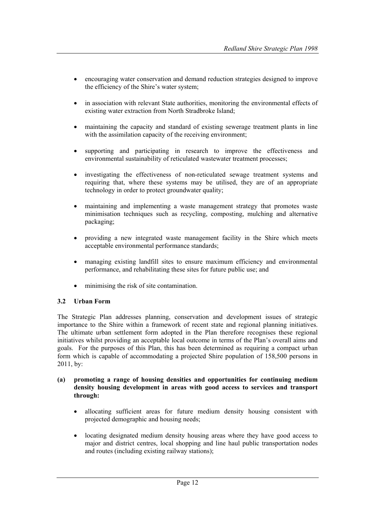- encouraging water conservation and demand reduction strategies designed to improve the efficiency of the Shire's water system;
- in association with relevant State authorities, monitoring the environmental effects of existing water extraction from North Stradbroke Island;
- maintaining the capacity and standard of existing sewerage treatment plants in line with the assimilation capacity of the receiving environment;
- supporting and participating in research to improve the effectiveness and environmental sustainability of reticulated wastewater treatment processes;
- investigating the effectiveness of non-reticulated sewage treatment systems and requiring that, where these systems may be utilised, they are of an appropriate technology in order to protect groundwater quality;
- maintaining and implementing a waste management strategy that promotes waste minimisation techniques such as recycling, composting, mulching and alternative packaging;
- providing a new integrated waste management facility in the Shire which meets acceptable environmental performance standards;
- managing existing landfill sites to ensure maximum efficiency and environmental performance, and rehabilitating these sites for future public use; and
- minimising the risk of site contamination.

## **3.2 Urban Form**

The Strategic Plan addresses planning, conservation and development issues of strategic importance to the Shire within a framework of recent state and regional planning initiatives. The ultimate urban settlement form adopted in the Plan therefore recognises these regional initiatives whilst providing an acceptable local outcome in terms of the Plan's overall aims and goals. For the purposes of this Plan, this has been determined as requiring a compact urban form which is capable of accommodating a projected Shire population of 158,500 persons in 2011, by:

#### **(a) promoting a range of housing densities and opportunities for continuing medium density housing development in areas with good access to services and transport through:**

- allocating sufficient areas for future medium density housing consistent with projected demographic and housing needs;
- locating designated medium density housing areas where they have good access to major and district centres, local shopping and line haul public transportation nodes and routes (including existing railway stations);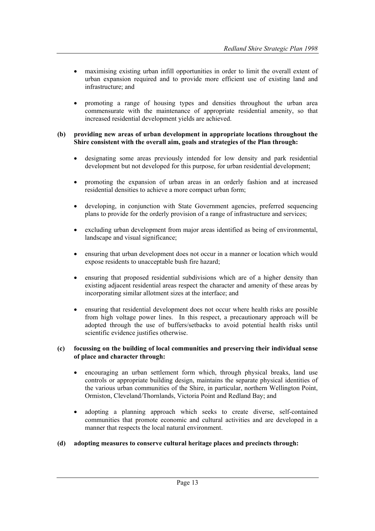- maximising existing urban infill opportunities in order to limit the overall extent of urban expansion required and to provide more efficient use of existing land and infrastructure; and
- promoting a range of housing types and densities throughout the urban area commensurate with the maintenance of appropriate residential amenity, so that increased residential development yields are achieved.

#### **(b) providing new areas of urban development in appropriate locations throughout the Shire consistent with the overall aim, goals and strategies of the Plan through:**

- designating some areas previously intended for low density and park residential development but not developed for this purpose, for urban residential development;
- promoting the expansion of urban areas in an orderly fashion and at increased residential densities to achieve a more compact urban form;
- developing, in conjunction with State Government agencies, preferred sequencing plans to provide for the orderly provision of a range of infrastructure and services;
- excluding urban development from major areas identified as being of environmental, landscape and visual significance;
- ensuring that urban development does not occur in a manner or location which would expose residents to unacceptable bush fire hazard;
- ensuring that proposed residential subdivisions which are of a higher density than existing adjacent residential areas respect the character and amenity of these areas by incorporating similar allotment sizes at the interface; and
- ensuring that residential development does not occur where health risks are possible from high voltage power lines. In this respect, a precautionary approach will be adopted through the use of buffers/setbacks to avoid potential health risks until scientific evidence justifies otherwise.

#### **(c) focussing on the building of local communities and preserving their individual sense of place and character through:**

- encouraging an urban settlement form which, through physical breaks, land use controls or appropriate building design, maintains the separate physical identities of the various urban communities of the Shire, in particular, northern Wellington Point, Ormiston, Cleveland/Thornlands, Victoria Point and Redland Bay; and
- adopting a planning approach which seeks to create diverse, self-contained communities that promote economic and cultural activities and are developed in a manner that respects the local natural environment.

## **(d) adopting measures to conserve cultural heritage places and precincts through:**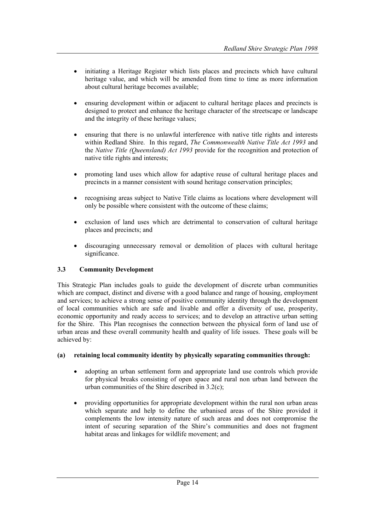- initiating a Heritage Register which lists places and precincts which have cultural heritage value, and which will be amended from time to time as more information about cultural heritage becomes available;
- ensuring development within or adjacent to cultural heritage places and precincts is designed to protect and enhance the heritage character of the streetscape or landscape and the integrity of these heritage values;
- ensuring that there is no unlawful interference with native title rights and interests within Redland Shire. In this regard, *The Commonwealth Native Title Act 1993* and the *Native Title (Queensland) Act 1993* provide for the recognition and protection of native title rights and interests;
- promoting land uses which allow for adaptive reuse of cultural heritage places and precincts in a manner consistent with sound heritage conservation principles;
- recognising areas subject to Native Title claims as locations where development will only be possible where consistent with the outcome of these claims;
- exclusion of land uses which are detrimental to conservation of cultural heritage places and precincts; and
- discouraging unnecessary removal or demolition of places with cultural heritage significance.

## **3.3 Community Development**

This Strategic Plan includes goals to guide the development of discrete urban communities which are compact, distinct and diverse with a good balance and range of housing, employment and services; to achieve a strong sense of positive community identity through the development of local communities which are safe and livable and offer a diversity of use, prosperity, economic opportunity and ready access to services; and to develop an attractive urban setting for the Shire. This Plan recognises the connection between the physical form of land use of urban areas and these overall community health and quality of life issues. These goals will be achieved by:

## **(a) retaining local community identity by physically separating communities through:**

- adopting an urban settlement form and appropriate land use controls which provide for physical breaks consisting of open space and rural non urban land between the urban communities of the Shire described in 3.2(c);
- providing opportunities for appropriate development within the rural non urban areas which separate and help to define the urbanised areas of the Shire provided it complements the low intensity nature of such areas and does not compromise the intent of securing separation of the Shire's communities and does not fragment habitat areas and linkages for wildlife movement; and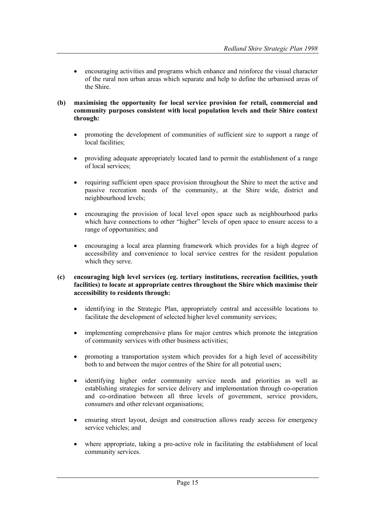- encouraging activities and programs which enhance and reinforce the visual character of the rural non urban areas which separate and help to define the urbanised areas of the Shire.
- **(b) maximising the opportunity for local service provision for retail, commercial and community purposes consistent with local population levels and their Shire context through:**
	- promoting the development of communities of sufficient size to support a range of local facilities;
	- providing adequate appropriately located land to permit the establishment of a range of local services;
	- requiring sufficient open space provision throughout the Shire to meet the active and passive recreation needs of the community, at the Shire wide, district and neighbourhood levels;
	- encouraging the provision of local level open space such as neighbourhood parks which have connections to other "higher" levels of open space to ensure access to a range of opportunities; and
	- encouraging a local area planning framework which provides for a high degree of accessibility and convenience to local service centres for the resident population which they serve.
- **(c) encouraging high level services (eg. tertiary institutions, recreation facilities, youth facilities) to locate at appropriate centres throughout the Shire which maximise their accessibility to residents through:** 
	- identifying in the Strategic Plan, appropriately central and accessible locations to facilitate the development of selected higher level community services;
	- implementing comprehensive plans for major centres which promote the integration of community services with other business activities;
	- promoting a transportation system which provides for a high level of accessibility both to and between the major centres of the Shire for all potential users;
	- identifying higher order community service needs and priorities as well as establishing strategies for service delivery and implementation through co-operation and co-ordination between all three levels of government, service providers, consumers and other relevant organisations;
	- ensuring street layout, design and construction allows ready access for emergency service vehicles; and
	- where appropriate, taking a pro-active role in facilitating the establishment of local community services.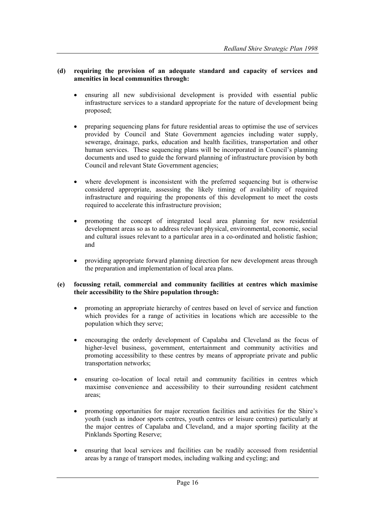#### **(d) requiring the provision of an adequate standard and capacity of services and amenities in local communities through:**

- ensuring all new subdivisional development is provided with essential public infrastructure services to a standard appropriate for the nature of development being proposed;
- preparing sequencing plans for future residential areas to optimise the use of services provided by Council and State Government agencies including water supply, sewerage, drainage, parks, education and health facilities, transportation and other human services. These sequencing plans will be incorporated in Council's planning documents and used to guide the forward planning of infrastructure provision by both Council and relevant State Government agencies;
- where development is inconsistent with the preferred sequencing but is otherwise considered appropriate, assessing the likely timing of availability of required infrastructure and requiring the proponents of this development to meet the costs required to accelerate this infrastructure provision;
- promoting the concept of integrated local area planning for new residential development areas so as to address relevant physical, environmental, economic, social and cultural issues relevant to a particular area in a co-ordinated and holistic fashion; and
- providing appropriate forward planning direction for new development areas through the preparation and implementation of local area plans.

#### **(e) focussing retail, commercial and community facilities at centres which maximise their accessibility to the Shire population through:**

- promoting an appropriate hierarchy of centres based on level of service and function which provides for a range of activities in locations which are accessible to the population which they serve;
- encouraging the orderly development of Capalaba and Cleveland as the focus of higher-level business, government, entertainment and community activities and promoting accessibility to these centres by means of appropriate private and public transportation networks;
- ensuring co-location of local retail and community facilities in centres which maximise convenience and accessibility to their surrounding resident catchment areas;
- promoting opportunities for major recreation facilities and activities for the Shire's youth (such as indoor sports centres, youth centres or leisure centres) particularly at the major centres of Capalaba and Cleveland, and a major sporting facility at the Pinklands Sporting Reserve;
- ensuring that local services and facilities can be readily accessed from residential areas by a range of transport modes, including walking and cycling; and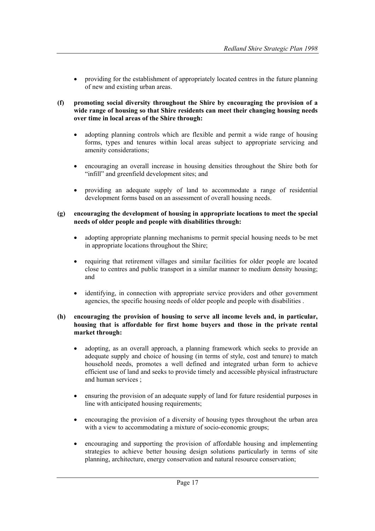- providing for the establishment of appropriately located centres in the future planning of new and existing urban areas.
- **(f) promoting social diversity throughout the Shire by encouraging the provision of a wide range of housing so that Shire residents can meet their changing housing needs over time in local areas of the Shire through:**
	- adopting planning controls which are flexible and permit a wide range of housing forms, types and tenures within local areas subject to appropriate servicing and amenity considerations;
	- encouraging an overall increase in housing densities throughout the Shire both for "infill" and greenfield development sites; and
	- providing an adequate supply of land to accommodate a range of residential development forms based on an assessment of overall housing needs.

#### **(g) encouraging the development of housing in appropriate locations to meet the special needs of older people and people with disabilities through:**

- adopting appropriate planning mechanisms to permit special housing needs to be met in appropriate locations throughout the Shire;
- requiring that retirement villages and similar facilities for older people are located close to centres and public transport in a similar manner to medium density housing; and
- identifying, in connection with appropriate service providers and other government agencies, the specific housing needs of older people and people with disabilities .

#### **(h) encouraging the provision of housing to serve all income levels and, in particular, housing that is affordable for first home buyers and those in the private rental market through:**

- adopting, as an overall approach, a planning framework which seeks to provide an adequate supply and choice of housing (in terms of style, cost and tenure) to match household needs, promotes a well defined and integrated urban form to achieve efficient use of land and seeks to provide timely and accessible physical infrastructure and human services ;
- ensuring the provision of an adequate supply of land for future residential purposes in line with anticipated housing requirements;
- encouraging the provision of a diversity of housing types throughout the urban area with a view to accommodating a mixture of socio-economic groups;
- encouraging and supporting the provision of affordable housing and implementing strategies to achieve better housing design solutions particularly in terms of site planning, architecture, energy conservation and natural resource conservation;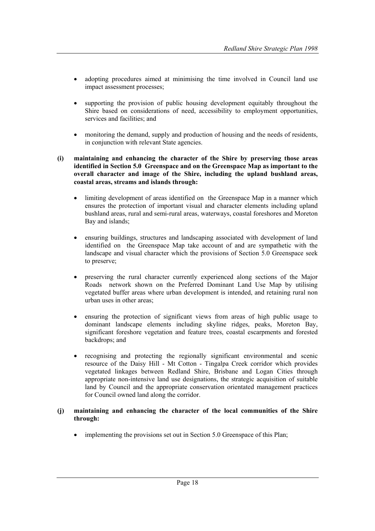- adopting procedures aimed at minimising the time involved in Council land use impact assessment processes;
- supporting the provision of public housing development equitably throughout the Shire based on considerations of need, accessibility to employment opportunities, services and facilities; and
- monitoring the demand, supply and production of housing and the needs of residents, in conjunction with relevant State agencies.

#### **(i) maintaining and enhancing the character of the Shire by preserving those areas identified in Section 5.0 Greenspace and on the Greenspace Map as important to the overall character and image of the Shire, including the upland bushland areas, coastal areas, streams and islands through:**

- limiting development of areas identified on the Greenspace Map in a manner which ensures the protection of important visual and character elements including upland bushland areas, rural and semi-rural areas, waterways, coastal foreshores and Moreton Bay and islands;
- ensuring buildings, structures and landscaping associated with development of land identified on the Greenspace Map take account of and are sympathetic with the landscape and visual character which the provisions of Section 5.0 Greenspace seek to preserve;
- preserving the rural character currently experienced along sections of the Major Roads network shown on the Preferred Dominant Land Use Map by utilising vegetated buffer areas where urban development is intended, and retaining rural non urban uses in other areas;
- ensuring the protection of significant views from areas of high public usage to dominant landscape elements including skyline ridges, peaks, Moreton Bay, significant foreshore vegetation and feature trees, coastal escarpments and forested backdrops; and
- recognising and protecting the regionally significant environmental and scenic resource of the Daisy Hill - Mt Cotton - Tingalpa Creek corridor which provides vegetated linkages between Redland Shire, Brisbane and Logan Cities through appropriate non-intensive land use designations, the strategic acquisition of suitable land by Council and the appropriate conservation orientated management practices for Council owned land along the corridor.

#### **(j) maintaining and enhancing the character of the local communities of the Shire through:**

implementing the provisions set out in Section 5.0 Greenspace of this Plan;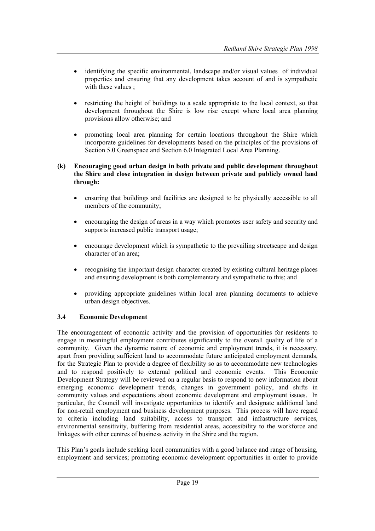- identifying the specific environmental, landscape and/or visual values of individual properties and ensuring that any development takes account of and is sympathetic with these values :
- restricting the height of buildings to a scale appropriate to the local context, so that development throughout the Shire is low rise except where local area planning provisions allow otherwise; and
- promoting local area planning for certain locations throughout the Shire which incorporate guidelines for developments based on the principles of the provisions of Section 5.0 Greenspace and Section 6.0 Integrated Local Area Planning.

#### **(k) Encouraging good urban design in both private and public development throughout the Shire and close integration in design between private and publicly owned land through:**

- ensuring that buildings and facilities are designed to be physically accessible to all members of the community;
- encouraging the design of areas in a way which promotes user safety and security and supports increased public transport usage;
- encourage development which is sympathetic to the prevailing streetscape and design character of an area;
- recognising the important design character created by existing cultural heritage places and ensuring development is both complementary and sympathetic to this; and
- providing appropriate guidelines within local area planning documents to achieve urban design objectives.

## **3.4 Economic Development**

The encouragement of economic activity and the provision of opportunities for residents to engage in meaningful employment contributes significantly to the overall quality of life of a community. Given the dynamic nature of economic and employment trends, it is necessary, apart from providing sufficient land to accommodate future anticipated employment demands, for the Strategic Plan to provide a degree of flexibility so as to accommodate new technologies and to respond positively to external political and economic events. This Economic Development Strategy will be reviewed on a regular basis to respond to new information about emerging economic development trends, changes in government policy, and shifts in community values and expectations about economic development and employment issues. In particular, the Council will investigate opportunities to identify and designate additional land for non-retail employment and business development purposes. This process will have regard to criteria including land suitability, access to transport and infrastructure services, environmental sensitivity, buffering from residential areas, accessibility to the workforce and linkages with other centres of business activity in the Shire and the region.

This Plan's goals include seeking local communities with a good balance and range of housing, employment and services; promoting economic development opportunities in order to provide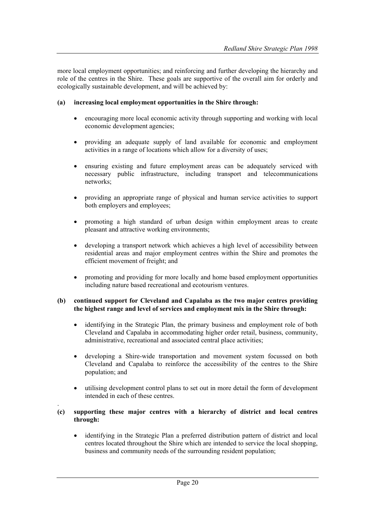more local employment opportunities; and reinforcing and further developing the hierarchy and role of the centres in the Shire. These goals are supportive of the overall aim for orderly and ecologically sustainable development, and will be achieved by:

## **(a) increasing local employment opportunities in the Shire through:**

- encouraging more local economic activity through supporting and working with local economic development agencies;
- providing an adequate supply of land available for economic and employment activities in a range of locations which allow for a diversity of uses;
- ensuring existing and future employment areas can be adequately serviced with necessary public infrastructure, including transport and telecommunications networks;
- providing an appropriate range of physical and human service activities to support both employers and employees;
- promoting a high standard of urban design within employment areas to create pleasant and attractive working environments;
- developing a transport network which achieves a high level of accessibility between residential areas and major employment centres within the Shire and promotes the efficient movement of freight; and
- promoting and providing for more locally and home based employment opportunities including nature based recreational and ecotourism ventures.

#### **(b) continued support for Cleveland and Capalaba as the two major centres providing the highest range and level of services and employment mix in the Shire through:**

- identifying in the Strategic Plan, the primary business and employment role of both Cleveland and Capalaba in accommodating higher order retail, business, community, administrative, recreational and associated central place activities;
- developing a Shire-wide transportation and movement system focussed on both Cleveland and Capalaba to reinforce the accessibility of the centres to the Shire population; and
- utilising development control plans to set out in more detail the form of development intended in each of these centres.

## **(c) supporting these major centres with a hierarchy of district and local centres through:**

.

• identifying in the Strategic Plan a preferred distribution pattern of district and local centres located throughout the Shire which are intended to service the local shopping, business and community needs of the surrounding resident population;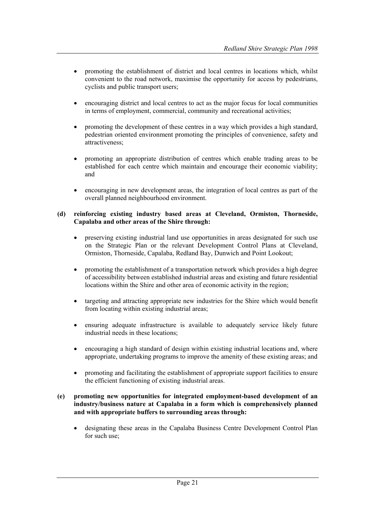- promoting the establishment of district and local centres in locations which, whilst convenient to the road network, maximise the opportunity for access by pedestrians, cyclists and public transport users;
- encouraging district and local centres to act as the major focus for local communities in terms of employment, commercial, community and recreational activities;
- promoting the development of these centres in a way which provides a high standard, pedestrian oriented environment promoting the principles of convenience, safety and attractiveness;
- promoting an appropriate distribution of centres which enable trading areas to be established for each centre which maintain and encourage their economic viability; and
- encouraging in new development areas, the integration of local centres as part of the overall planned neighbourhood environment.

#### **(d) reinforcing existing industry based areas at Cleveland, Ormiston, Thorneside, Capalaba and other areas of the Shire through:**

- preserving existing industrial land use opportunities in areas designated for such use on the Strategic Plan or the relevant Development Control Plans at Cleveland, Ormiston, Thorneside, Capalaba, Redland Bay, Dunwich and Point Lookout;
- promoting the establishment of a transportation network which provides a high degree of accessibility between established industrial areas and existing and future residential locations within the Shire and other area of economic activity in the region;
- targeting and attracting appropriate new industries for the Shire which would benefit from locating within existing industrial areas;
- ensuring adequate infrastructure is available to adequately service likely future industrial needs in these locations;
- encouraging a high standard of design within existing industrial locations and, where appropriate, undertaking programs to improve the amenity of these existing areas; and
- promoting and facilitating the establishment of appropriate support facilities to ensure the efficient functioning of existing industrial areas.

#### **(e) promoting new opportunities for integrated employment-based development of an industry/business nature at Capalaba in a form which is comprehensively planned and with appropriate buffers to surrounding areas through:**

• designating these areas in the Capalaba Business Centre Development Control Plan for such use;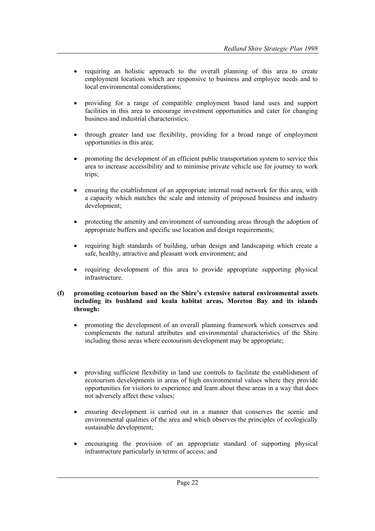- requiring an holistic approach to the overall planning of this area to create employment locations which are responsive to business and employee needs and to local environmental considerations;
- providing for a range of compatible employment based land uses and support facilities in this area to encourage investment opportunities and cater for changing business and industrial characteristics;
- through greater land use flexibility, providing for a broad range of employment opportunities in this area;
- promoting the development of an efficient public transportation system to service this area to increase accessibility and to minimise private vehicle use for journey to work trips;
- ensuring the establishment of an appropriate internal road network for this area, with a capacity which matches the scale and intensity of proposed business and industry development;
- protecting the amenity and environment of surrounding areas through the adoption of appropriate buffers and specific use location and design requirements;
- requiring high standards of building, urban design and landscaping which create a safe, healthy, attractive and pleasant work environment; and
- requiring development of this area to provide appropriate supporting physical infrastructure.
- **(f) promoting ecotourism based on the Shire's extensive natural environmental assets including its bushland and koala habitat areas, Moreton Bay and its islands through:**
	- promoting the development of an overall planning framework which conserves and complements the natural attributes and environmental characteristics of the Shire including those areas where ecotourism development may be appropriate;
	- providing sufficient flexibility in land use controls to facilitate the establishment of ecotourism developments in areas of high environmental values where they provide opportunities for visitors to experience and learn about these areas in a way that does not adversely affect these values;
	- ensuring development is carried out in a manner that conserves the scenic and environmental qualities of the area and which observes the principles of ecologically sustainable development;
	- encouraging the provision of an appropriate standard of supporting physical infrastructure particularly in terms of access; and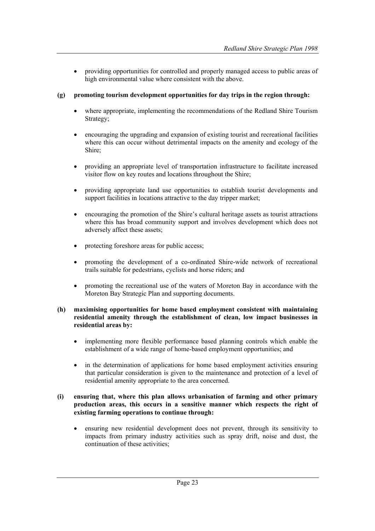• providing opportunities for controlled and properly managed access to public areas of high environmental value where consistent with the above.

## **(g) promoting tourism development opportunities for day trips in the region through:**

- where appropriate, implementing the recommendations of the Redland Shire Tourism Strategy;
- encouraging the upgrading and expansion of existing tourist and recreational facilities where this can occur without detrimental impacts on the amenity and ecology of the Shire;
- providing an appropriate level of transportation infrastructure to facilitate increased visitor flow on key routes and locations throughout the Shire;
- providing appropriate land use opportunities to establish tourist developments and support facilities in locations attractive to the day tripper market;
- encouraging the promotion of the Shire's cultural heritage assets as tourist attractions where this has broad community support and involves development which does not adversely affect these assets;
- protecting foreshore areas for public access;
- promoting the development of a co-ordinated Shire-wide network of recreational trails suitable for pedestrians, cyclists and horse riders; and
- promoting the recreational use of the waters of Moreton Bay in accordance with the Moreton Bay Strategic Plan and supporting documents.

#### **(h) maximising opportunities for home based employment consistent with maintaining residential amenity through the establishment of clean, low impact businesses in residential areas by:**

- implementing more flexible performance based planning controls which enable the establishment of a wide range of home-based employment opportunities; and
- in the determination of applications for home based employment activities ensuring that particular consideration is given to the maintenance and protection of a level of residential amenity appropriate to the area concerned.

#### **(i) ensuring that, where this plan allows urbanisation of farming and other primary production areas, this occurs in a sensitive manner which respects the right of existing farming operations to continue through:**

• ensuring new residential development does not prevent, through its sensitivity to impacts from primary industry activities such as spray drift, noise and dust, the continuation of these activities;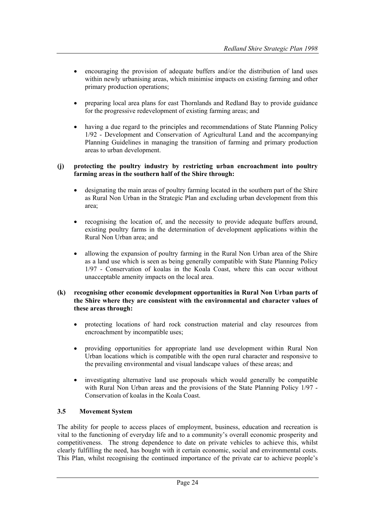- encouraging the provision of adequate buffers and/or the distribution of land uses within newly urbanising areas, which minimise impacts on existing farming and other primary production operations;
- preparing local area plans for east Thornlands and Redland Bay to provide guidance for the progressive redevelopment of existing farming areas; and
- having a due regard to the principles and recommendations of State Planning Policy 1/92 - Development and Conservation of Agricultural Land and the accompanying Planning Guidelines in managing the transition of farming and primary production areas to urban development.

#### **(j) protecting the poultry industry by restricting urban encroachment into poultry farming areas in the southern half of the Shire through:**

- designating the main areas of poultry farming located in the southern part of the Shire as Rural Non Urban in the Strategic Plan and excluding urban development from this area;
- recognising the location of, and the necessity to provide adequate buffers around, existing poultry farms in the determination of development applications within the Rural Non Urban area; and
- allowing the expansion of poultry farming in the Rural Non Urban area of the Shire as a land use which is seen as being generally compatible with State Planning Policy 1/97 - Conservation of koalas in the Koala Coast, where this can occur without unacceptable amenity impacts on the local area.

#### **(k) recognising other economic development opportunities in Rural Non Urban parts of the Shire where they are consistent with the environmental and character values of these areas through:**

- protecting locations of hard rock construction material and clay resources from encroachment by incompatible uses;
- providing opportunities for appropriate land use development within Rural Non Urban locations which is compatible with the open rural character and responsive to the prevailing environmental and visual landscape values of these areas; and
- investigating alternative land use proposals which would generally be compatible with Rural Non Urban areas and the provisions of the State Planning Policy 1/97 -Conservation of koalas in the Koala Coast.

## **3.5 Movement System**

The ability for people to access places of employment, business, education and recreation is vital to the functioning of everyday life and to a community's overall economic prosperity and competitiveness. The strong dependence to date on private vehicles to achieve this, whilst clearly fulfilling the need, has bought with it certain economic, social and environmental costs. This Plan, whilst recognising the continued importance of the private car to achieve people's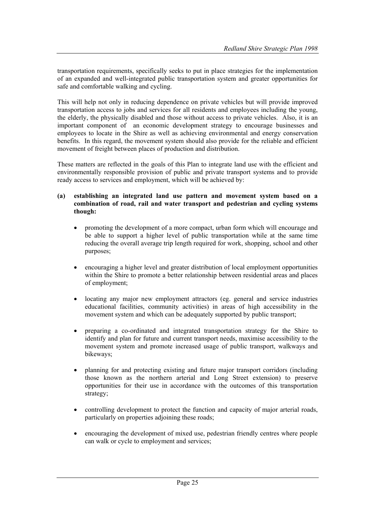transportation requirements, specifically seeks to put in place strategies for the implementation of an expanded and well-integrated public transportation system and greater opportunities for safe and comfortable walking and cycling.

This will help not only in reducing dependence on private vehicles but will provide improved transportation access to jobs and services for all residents and employees including the young, the elderly, the physically disabled and those without access to private vehicles. Also, it is an important component of an economic development strategy to encourage businesses and employees to locate in the Shire as well as achieving environmental and energy conservation benefits. In this regard, the movement system should also provide for the reliable and efficient movement of freight between places of production and distribution.

These matters are reflected in the goals of this Plan to integrate land use with the efficient and environmentally responsible provision of public and private transport systems and to provide ready access to services and employment, which will be achieved by:

- **(a) establishing an integrated land use pattern and movement system based on a combination of road, rail and water transport and pedestrian and cycling systems though:** 
	- promoting the development of a more compact, urban form which will encourage and be able to support a higher level of public transportation while at the same time reducing the overall average trip length required for work, shopping, school and other purposes;
	- encouraging a higher level and greater distribution of local employment opportunities within the Shire to promote a better relationship between residential areas and places of employment;
	- locating any major new employment attractors (eg. general and service industries educational facilities, community activities) in areas of high accessibility in the movement system and which can be adequately supported by public transport;
	- preparing a co-ordinated and integrated transportation strategy for the Shire to identify and plan for future and current transport needs, maximise accessibility to the movement system and promote increased usage of public transport, walkways and bikeways;
	- planning for and protecting existing and future major transport corridors (including those known as the northern arterial and Long Street extension) to preserve opportunities for their use in accordance with the outcomes of this transportation strategy;
	- controlling development to protect the function and capacity of major arterial roads, particularly on properties adjoining these roads;
	- encouraging the development of mixed use, pedestrian friendly centres where people can walk or cycle to employment and services;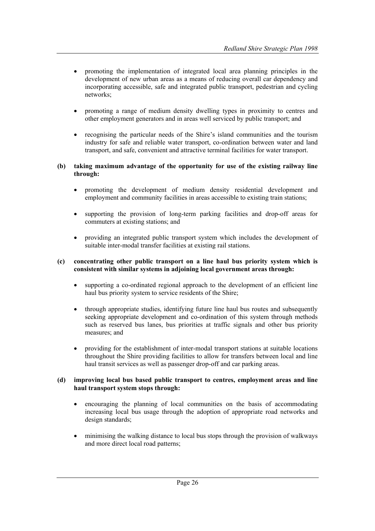- promoting the implementation of integrated local area planning principles in the development of new urban areas as a means of reducing overall car dependency and incorporating accessible, safe and integrated public transport, pedestrian and cycling networks;
- promoting a range of medium density dwelling types in proximity to centres and other employment generators and in areas well serviced by public transport; and
- recognising the particular needs of the Shire's island communities and the tourism industry for safe and reliable water transport, co-ordination between water and land transport, and safe, convenient and attractive terminal facilities for water transport.

#### **(b) taking maximum advantage of the opportunity for use of the existing railway line through:**

- promoting the development of medium density residential development and employment and community facilities in areas accessible to existing train stations;
- supporting the provision of long-term parking facilities and drop-off areas for commuters at existing stations; and
- providing an integrated public transport system which includes the development of suitable inter-modal transfer facilities at existing rail stations.

#### **(c) concentrating other public transport on a line haul bus priority system which is consistent with similar systems in adjoining local government areas through:**

- supporting a co-ordinated regional approach to the development of an efficient line haul bus priority system to service residents of the Shire;
- through appropriate studies, identifying future line haul bus routes and subsequently seeking appropriate development and co-ordination of this system through methods such as reserved bus lanes, bus priorities at traffic signals and other bus priority measures; and
- providing for the establishment of inter-modal transport stations at suitable locations throughout the Shire providing facilities to allow for transfers between local and line haul transit services as well as passenger drop-off and car parking areas.

#### **(d) improving local bus based public transport to centres, employment areas and line haul transport system stops through:**

- encouraging the planning of local communities on the basis of accommodating increasing local bus usage through the adoption of appropriate road networks and design standards;
- minimising the walking distance to local bus stops through the provision of walkways and more direct local road patterns;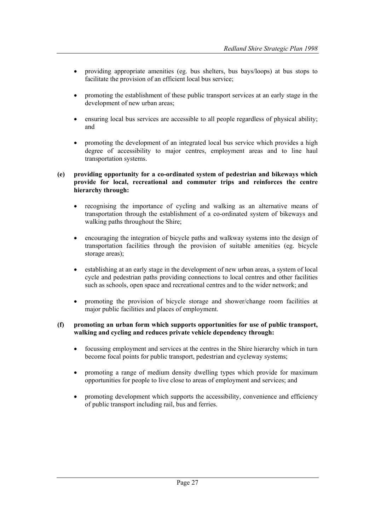- providing appropriate amenities (eg. bus shelters, bus bays/loops) at bus stops to facilitate the provision of an efficient local bus service;
- promoting the establishment of these public transport services at an early stage in the development of new urban areas;
- ensuring local bus services are accessible to all people regardless of physical ability; and
- promoting the development of an integrated local bus service which provides a high degree of accessibility to major centres, employment areas and to line haul transportation systems.

#### **(e) providing opportunity for a co-ordinated system of pedestrian and bikeways which provide for local, recreational and commuter trips and reinforces the centre hierarchy through:**

- recognising the importance of cycling and walking as an alternative means of transportation through the establishment of a co-ordinated system of bikeways and walking paths throughout the Shire;
- encouraging the integration of bicycle paths and walkway systems into the design of transportation facilities through the provision of suitable amenities (eg. bicycle storage areas);
- establishing at an early stage in the development of new urban areas, a system of local cycle and pedestrian paths providing connections to local centres and other facilities such as schools, open space and recreational centres and to the wider network; and
- promoting the provision of bicycle storage and shower/change room facilities at major public facilities and places of employment.

#### **(f) promoting an urban form which supports opportunities for use of public transport, walking and cycling and reduces private vehicle dependency through:**

- focussing employment and services at the centres in the Shire hierarchy which in turn become focal points for public transport, pedestrian and cycleway systems;
- promoting a range of medium density dwelling types which provide for maximum opportunities for people to live close to areas of employment and services; and
- promoting development which supports the accessibility, convenience and efficiency of public transport including rail, bus and ferries.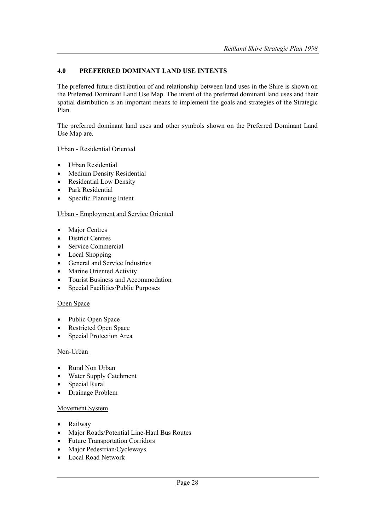## **4.0 PREFERRED DOMINANT LAND USE INTENTS**

The preferred future distribution of and relationship between land uses in the Shire is shown on the Preferred Dominant Land Use Map. The intent of the preferred dominant land uses and their spatial distribution is an important means to implement the goals and strategies of the Strategic Plan.

The preferred dominant land uses and other symbols shown on the Preferred Dominant Land Use Map are.

## Urban - Residential Oriented

- Urban Residential
- Medium Density Residential
- Residential Low Density
- Park Residential
- Specific Planning Intent

## Urban - Employment and Service Oriented

- Major Centres
- District Centres
- Service Commercial
- Local Shopping
- General and Service Industries
- Marine Oriented Activity
- Tourist Business and Accommodation
- Special Facilities/Public Purposes

## Open Space

- Public Open Space
- Restricted Open Space
- Special Protection Area

## Non-Urban

- Rural Non Urban
- Water Supply Catchment
- Special Rural
- Drainage Problem

## Movement System

- Railway
- Major Roads/Potential Line-Haul Bus Routes
- Future Transportation Corridors
- Major Pedestrian/Cycleways
- Local Road Network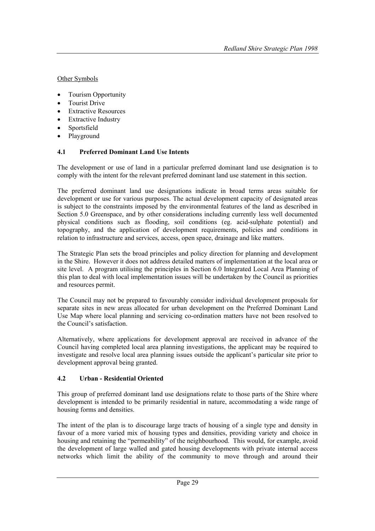## Other Symbols

- Tourism Opportunity
- Tourist Drive
- Extractive Resources
- Extractive Industry
- Sportsfield
- Playground

## **4.1 Preferred Dominant Land Use Intents**

The development or use of land in a particular preferred dominant land use designation is to comply with the intent for the relevant preferred dominant land use statement in this section.

The preferred dominant land use designations indicate in broad terms areas suitable for development or use for various purposes. The actual development capacity of designated areas is subject to the constraints imposed by the environmental features of the land as described in Section 5.0 Greenspace, and by other considerations including currently less well documented physical conditions such as flooding, soil conditions (eg. acid-sulphate potential) and topography, and the application of development requirements, policies and conditions in relation to infrastructure and services, access, open space, drainage and like matters.

The Strategic Plan sets the broad principles and policy direction for planning and development in the Shire. However it does not address detailed matters of implementation at the local area or site level. A program utilising the principles in Section 6.0 Integrated Local Area Planning of this plan to deal with local implementation issues will be undertaken by the Council as priorities and resources permit.

The Council may not be prepared to favourably consider individual development proposals for separate sites in new areas allocated for urban development on the Preferred Dominant Land Use Map where local planning and servicing co-ordination matters have not been resolved to the Council's satisfaction.

Alternatively, where applications for development approval are received in advance of the Council having completed local area planning investigations, the applicant may be required to investigate and resolve local area planning issues outside the applicant's particular site prior to development approval being granted.

## **4.2 Urban - Residential Oriented**

This group of preferred dominant land use designations relate to those parts of the Shire where development is intended to be primarily residential in nature, accommodating a wide range of housing forms and densities.

The intent of the plan is to discourage large tracts of housing of a single type and density in favour of a more varied mix of housing types and densities, providing variety and choice in housing and retaining the "permeability" of the neighbourhood. This would, for example, avoid the development of large walled and gated housing developments with private internal access networks which limit the ability of the community to move through and around their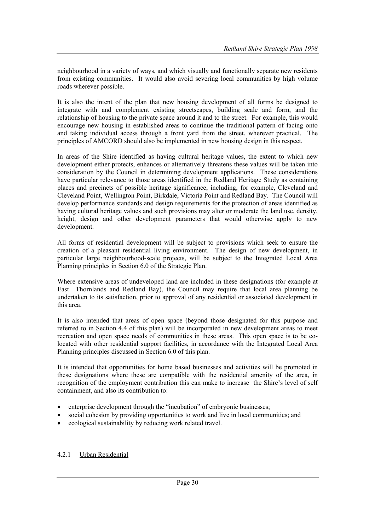neighbourhood in a variety of ways, and which visually and functionally separate new residents from existing communities. It would also avoid severing local communities by high volume roads wherever possible.

It is also the intent of the plan that new housing development of all forms be designed to integrate with and complement existing streetscapes, building scale and form, and the relationship of housing to the private space around it and to the street. For example, this would encourage new housing in established areas to continue the traditional pattern of facing onto and taking individual access through a front yard from the street, wherever practical. The principles of AMCORD should also be implemented in new housing design in this respect.

In areas of the Shire identified as having cultural heritage values, the extent to which new development either protects, enhances or alternatively threatens these values will be taken into consideration by the Council in determining development applications. These considerations have particular relevance to those areas identified in the Redland Heritage Study as containing places and precincts of possible heritage significance, including, for example, Cleveland and Cleveland Point, Wellington Point, Birkdale, Victoria Point and Redland Bay. The Council will develop performance standards and design requirements for the protection of areas identified as having cultural heritage values and such provisions may alter or moderate the land use, density, height, design and other development parameters that would otherwise apply to new development.

All forms of residential development will be subject to provisions which seek to ensure the creation of a pleasant residential living environment. The design of new development, in particular large neighbourhood-scale projects, will be subject to the Integrated Local Area Planning principles in Section 6.0 of the Strategic Plan.

Where extensive areas of undeveloped land are included in these designations (for example at East Thornlands and Redland Bay), the Council may require that local area planning be undertaken to its satisfaction, prior to approval of any residential or associated development in this area.

It is also intended that areas of open space (beyond those designated for this purpose and referred to in Section 4.4 of this plan) will be incorporated in new development areas to meet recreation and open space needs of communities in these areas. This open space is to be colocated with other residential support facilities, in accordance with the Integrated Local Area Planning principles discussed in Section 6.0 of this plan.

It is intended that opportunities for home based businesses and activities will be promoted in these designations where these are compatible with the residential amenity of the area, in recognition of the employment contribution this can make to increase the Shire's level of self containment, and also its contribution to:

- enterprise development through the "incubation" of embryonic businesses;
- social cohesion by providing opportunities to work and live in local communities; and
- ecological sustainability by reducing work related travel.

## 4.2.1 Urban Residential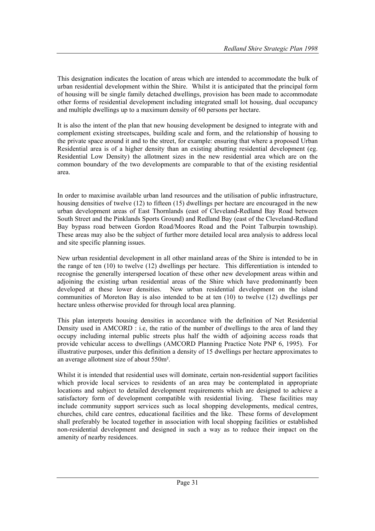This designation indicates the location of areas which are intended to accommodate the bulk of urban residential development within the Shire. Whilst it is anticipated that the principal form of housing will be single family detached dwellings, provision has been made to accommodate other forms of residential development including integrated small lot housing, dual occupancy and multiple dwellings up to a maximum density of 60 persons per hectare.

It is also the intent of the plan that new housing development be designed to integrate with and complement existing streetscapes, building scale and form, and the relationship of housing to the private space around it and to the street, for example: ensuring that where a proposed Urban Residential area is of a higher density than an existing abutting residential development (eg. Residential Low Density) the allotment sizes in the new residential area which are on the common boundary of the two developments are comparable to that of the existing residential area.

In order to maximise available urban land resources and the utilisation of public infrastructure, housing densities of twelve (12) to fifteen (15) dwellings per hectare are encouraged in the new urban development areas of East Thornlands (east of Cleveland-Redland Bay Road between South Street and the Pinklands Sports Ground) and Redland Bay (east of the Cleveland-Redland Bay bypass road between Gordon Road/Moores Road and the Point Talburpin township). These areas may also be the subject of further more detailed local area analysis to address local and site specific planning issues.

New urban residential development in all other mainland areas of the Shire is intended to be in the range of ten (10) to twelve (12) dwellings per hectare. This differentiation is intended to recognise the generally interspersed location of these other new development areas within and adioining the existing urban residential areas of the Shire which have predominantly been developed at these lower densities. New urban residential development on the island communities of Moreton Bay is also intended to be at ten (10) to twelve (12) dwellings per hectare unless otherwise provided for through local area planning.

This plan interprets housing densities in accordance with the definition of Net Residential Density used in AMCORD : i.e, the ratio of the number of dwellings to the area of land they occupy including internal public streets plus half the width of adjoining access roads that provide vehicular access to dwellings (AMCORD Planning Practice Note PNP 6, 1995). For illustrative purposes, under this definition a density of 15 dwellings per hectare approximates to an average allotment size of about 550m².

Whilst it is intended that residential uses will dominate, certain non-residential support facilities which provide local services to residents of an area may be contemplated in appropriate locations and subject to detailed development requirements which are designed to achieve a satisfactory form of development compatible with residential living. These facilities may include community support services such as local shopping developments, medical centres, churches, child care centres, educational facilities and the like. These forms of development shall preferably be located together in association with local shopping facilities or established non-residential development and designed in such a way as to reduce their impact on the amenity of nearby residences.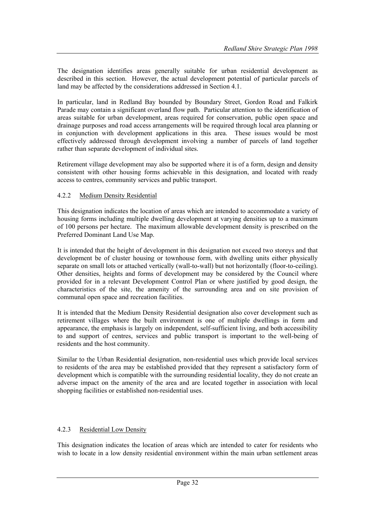The designation identifies areas generally suitable for urban residential development as described in this section. However, the actual development potential of particular parcels of land may be affected by the considerations addressed in Section 4.1.

In particular, land in Redland Bay bounded by Boundary Street, Gordon Road and Falkirk Parade may contain a significant overland flow path. Particular attention to the identification of areas suitable for urban development, areas required for conservation, public open space and drainage purposes and road access arrangements will be required through local area planning or in conjunction with development applications in this area. These issues would be most effectively addressed through development involving a number of parcels of land together rather than separate development of individual sites.

Retirement village development may also be supported where it is of a form, design and density consistent with other housing forms achievable in this designation, and located with ready access to centres, community services and public transport.

## 4.2.2 Medium Density Residential

This designation indicates the location of areas which are intended to accommodate a variety of housing forms including multiple dwelling development at varying densities up to a maximum of 100 persons per hectare. The maximum allowable development density is prescribed on the Preferred Dominant Land Use Map.

It is intended that the height of development in this designation not exceed two storeys and that development be of cluster housing or townhouse form, with dwelling units either physically separate on small lots or attached vertically (wall-to-wall) but not horizontally (floor-to-ceiling). Other densities, heights and forms of development may be considered by the Council where provided for in a relevant Development Control Plan or where justified by good design, the characteristics of the site, the amenity of the surrounding area and on site provision of communal open space and recreation facilities.

It is intended that the Medium Density Residential designation also cover development such as retirement villages where the built environment is one of multiple dwellings in form and appearance, the emphasis is largely on independent, self-sufficient living, and both accessibility to and support of centres, services and public transport is important to the well-being of residents and the host community.

Similar to the Urban Residential designation, non-residential uses which provide local services to residents of the area may be established provided that they represent a satisfactory form of development which is compatible with the surrounding residential locality, they do not create an adverse impact on the amenity of the area and are located together in association with local shopping facilities or established non-residential uses.

## 4.2.3 Residential Low Density

This designation indicates the location of areas which are intended to cater for residents who wish to locate in a low density residential environment within the main urban settlement areas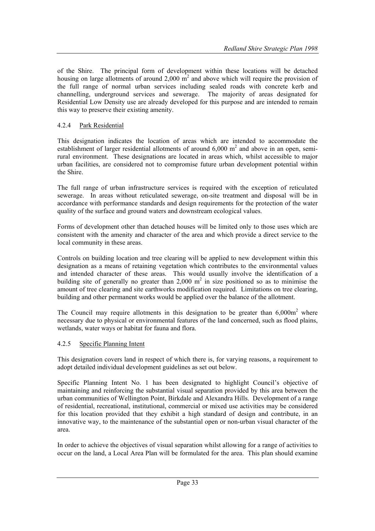of the Shire. The principal form of development within these locations will be detached housing on large allotments of around 2,000  $\mathrm{m}^2$  and above which will require the provision of the full range of normal urban services including sealed roads with concrete kerb and channelling, underground services and sewerage. The majority of areas designated for Residential Low Density use are already developed for this purpose and are intended to remain this way to preserve their existing amenity.

## 4.2.4 Park Residential

This designation indicates the location of areas which are intended to accommodate the establishment of larger residential allotments of around  $6,000 \text{ m}^2$  and above in an open, semirural environment. These designations are located in areas which, whilst accessible to major urban facilities, are considered not to compromise future urban development potential within the Shire.

The full range of urban infrastructure services is required with the exception of reticulated sewerage. In areas without reticulated sewerage, on-site treatment and disposal will be in accordance with performance standards and design requirements for the protection of the water quality of the surface and ground waters and downstream ecological values.

Forms of development other than detached houses will be limited only to those uses which are consistent with the amenity and character of the area and which provide a direct service to the local community in these areas.

Controls on building location and tree clearing will be applied to new development within this designation as a means of retaining vegetation which contributes to the environmental values and intended character of these areas. This would usually involve the identification of a building site of generally no greater than  $2,000 \text{ m}^2$  in size positioned so as to minimise the amount of tree clearing and site earthworks modification required. Limitations on tree clearing, building and other permanent works would be applied over the balance of the allotment.

The Council may require allotments in this designation to be greater than  $6,000m<sup>2</sup>$  where necessary due to physical or environmental features of the land concerned, such as flood plains, wetlands, water ways or habitat for fauna and flora.

## 4.2.5 Specific Planning Intent

This designation covers land in respect of which there is, for varying reasons, a requirement to adopt detailed individual development guidelines as set out below.

Specific Planning Intent No. 1 has been designated to highlight Council's objective of maintaining and reinforcing the substantial visual separation provided by this area between the urban communities of Wellington Point, Birkdale and Alexandra Hills. Development of a range of residential, recreational, institutional, commercial or mixed use activities may be considered for this location provided that they exhibit a high standard of design and contribute, in an innovative way, to the maintenance of the substantial open or non-urban visual character of the area.

In order to achieve the objectives of visual separation whilst allowing for a range of activities to occur on the land, a Local Area Plan will be formulated for the area. This plan should examine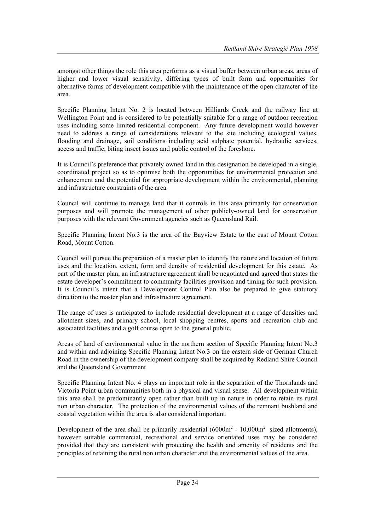amongst other things the role this area performs as a visual buffer between urban areas, areas of higher and lower visual sensitivity, differing types of built form and opportunities for alternative forms of development compatible with the maintenance of the open character of the area.

Specific Planning Intent No. 2 is located between Hilliards Creek and the railway line at Wellington Point and is considered to be potentially suitable for a range of outdoor recreation uses including some limited residential component. Any future development would however need to address a range of considerations relevant to the site including ecological values, flooding and drainage, soil conditions including acid sulphate potential, hydraulic services, access and traffic, biting insect issues and public control of the foreshore.

It is Council's preference that privately owned land in this designation be developed in a single, coordinated project so as to optimise both the opportunities for environmental protection and enhancement and the potential for appropriate development within the environmental, planning and infrastructure constraints of the area.

Council will continue to manage land that it controls in this area primarily for conservation purposes and will promote the management of other publicly-owned land for conservation purposes with the relevant Government agencies such as Queensland Rail.

Specific Planning Intent No.3 is the area of the Bayview Estate to the east of Mount Cotton Road, Mount Cotton.

Council will pursue the preparation of a master plan to identify the nature and location of future uses and the location, extent, form and density of residential development for this estate. As part of the master plan, an infrastructure agreement shall be negotiated and agreed that states the estate developer's commitment to community facilities provision and timing for such provision. It is Council's intent that a Development Control Plan also be prepared to give statutory direction to the master plan and infrastructure agreement.

The range of uses is anticipated to include residential development at a range of densities and allotment sizes, and primary school, local shopping centres, sports and recreation club and associated facilities and a golf course open to the general public.

Areas of land of environmental value in the northern section of Specific Planning Intent No.3 and within and adjoining Specific Planning Intent No.3 on the eastern side of German Church Road in the ownership of the development company shall be acquired by Redland Shire Council and the Queensland Government

Specific Planning Intent No. 4 plays an important role in the separation of the Thornlands and Victoria Point urban communities both in a physical and visual sense. All development within this area shall be predominantly open rather than built up in nature in order to retain its rural non urban character. The protection of the environmental values of the remnant bushland and coastal vegetation within the area is also considered important.

Development of the area shall be primarily residential  $(6000m^2 - 10,000m^2)$  sized allotments), however suitable commercial, recreational and service orientated uses may be considered provided that they are consistent with protecting the health and amenity of residents and the principles of retaining the rural non urban character and the environmental values of the area.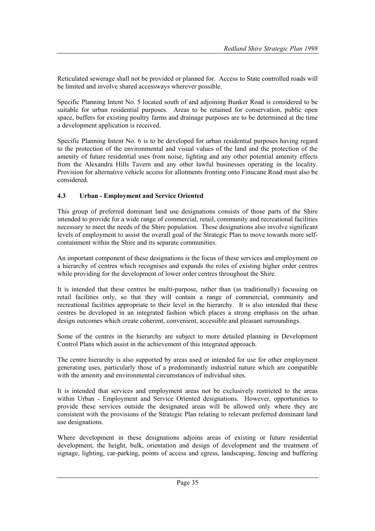Reticulated sewerage shall not be provided or planned for. Access to State controlled roads will be limited and involve shared accessways wherever possible.

Specific Planning Intent No. 5 located south of and adjoining Bunker Road is considered to be suitable for urban residential purposes. Areas to be retained for conservation, public open space, buffers for existing poultry farms and drainage purposes are to be determined at the time a development application is received.

Specific Planning Intent No. 6 is to be developed for urban residential purposes having regard to the protection of the environmental and visual values of the land and the protection of the amenity of future residential uses from noise, lighting and any other potential amenity effects from the Alexandra Hills Tavern and any other lawful businesses operating in the locality. Provision for alternative vehicle access for allotments fronting onto Finucane Road must also be considered.

## **4.3 Urban - Employment and Service Oriented**

This group of preferred dominant land use designations consists of those parts of the Shire intended to provide for a wide range of commercial, retail, community and recreational facilities necessary to meet the needs of the Shire population. These designations also involve significant levels of employment to assist the overall goal of the Strategic Plan to move towards more selfcontainment within the Shire and its separate communities.

An important component of these designations is the focus of these services and employment on a hierarchy of centres which recognises and expands the roles of existing higher order centres while providing for the development of lower order centres throughout the Shire.

It is intended that these centres be multi-purpose, rather than (as traditionally) focussing on retail facilities only, so that they will contain a range of commercial, community and recreational facilities appropriate to their level in the hierarchy. It is also intended that these centres be developed in an integrated fashion which places a strong emphasis on the urban design outcomes which create coherent, convenient, accessible and pleasant surroundings.

Some of the centres in the hierarchy are subject to more detailed planning in Development Control Plans which assist in the achievement of this integrated approach.

The centre hierarchy is also supported by areas used or intended for use for other employment generating uses, particularly those of a predominantly industrial nature which are compatible with the amenity and environmental circumstances of individual sites.

It is intended that services and employment areas not be exclusively restricted to the areas within Urban - Employment and Service Oriented designations. However, opportunities to provide these services outside the designated areas will be allowed only where they are consistent with the provisions of the Strategic Plan relating to relevant preferred dominant land use designations.

Where development in these designations adjoins areas of existing or future residential development, the height, bulk, orientation and design of development and the treatment of signage, lighting, car-parking, points of access and egress, landscaping, fencing and buffering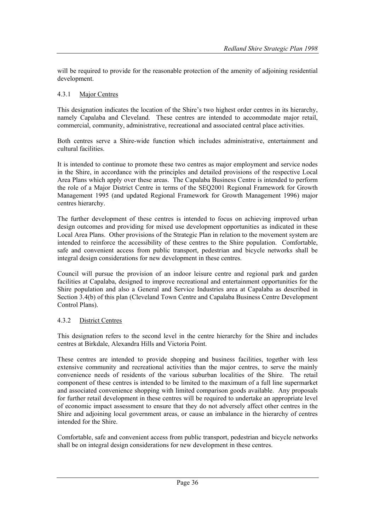will be required to provide for the reasonable protection of the amenity of adjoining residential development.

## 4.3.1 Major Centres

This designation indicates the location of the Shire's two highest order centres in its hierarchy, namely Capalaba and Cleveland. These centres are intended to accommodate major retail, commercial, community, administrative, recreational and associated central place activities.

Both centres serve a Shire-wide function which includes administrative, entertainment and cultural facilities.

It is intended to continue to promote these two centres as major employment and service nodes in the Shire, in accordance with the principles and detailed provisions of the respective Local Area Plans which apply over these areas. The Capalaba Business Centre is intended to perform the role of a Major District Centre in terms of the SEQ2001 Regional Framework for Growth Management 1995 (and updated Regional Framework for Growth Management 1996) major centres hierarchy.

The further development of these centres is intended to focus on achieving improved urban design outcomes and providing for mixed use development opportunities as indicated in these Local Area Plans. Other provisions of the Strategic Plan in relation to the movement system are intended to reinforce the accessibility of these centres to the Shire population. Comfortable, safe and convenient access from public transport, pedestrian and bicycle networks shall be integral design considerations for new development in these centres.

Council will pursue the provision of an indoor leisure centre and regional park and garden facilities at Capalaba, designed to improve recreational and entertainment opportunities for the Shire population and also a General and Service Industries area at Capalaba as described in Section 3.4(b) of this plan (Cleveland Town Centre and Capalaba Business Centre Development Control Plans).

## 4.3.2 District Centres

This designation refers to the second level in the centre hierarchy for the Shire and includes centres at Birkdale, Alexandra Hills and Victoria Point.

These centres are intended to provide shopping and business facilities, together with less extensive community and recreational activities than the major centres, to serve the mainly convenience needs of residents of the various suburban localities of the Shire. The retail component of these centres is intended to be limited to the maximum of a full line supermarket and associated convenience shopping with limited comparison goods available. Any proposals for further retail development in these centres will be required to undertake an appropriate level of economic impact assessment to ensure that they do not adversely affect other centres in the Shire and adjoining local government areas, or cause an imbalance in the hierarchy of centres intended for the Shire.

Comfortable, safe and convenient access from public transport, pedestrian and bicycle networks shall be on integral design considerations for new development in these centres.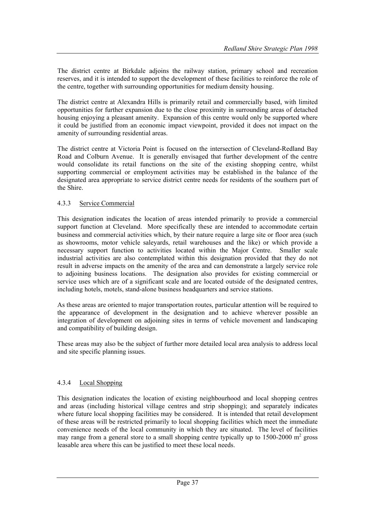The district centre at Birkdale adjoins the railway station, primary school and recreation reserves, and it is intended to support the development of these facilities to reinforce the role of the centre, together with surrounding opportunities for medium density housing.

The district centre at Alexandra Hills is primarily retail and commercially based, with limited opportunities for further expansion due to the close proximity in surrounding areas of detached housing enjoying a pleasant amenity. Expansion of this centre would only be supported where it could be justified from an economic impact viewpoint, provided it does not impact on the amenity of surrounding residential areas.

The district centre at Victoria Point is focused on the intersection of Cleveland-Redland Bay Road and Colburn Avenue. It is generally envisaged that further development of the centre would consolidate its retail functions on the site of the existing shopping centre, whilst supporting commercial or employment activities may be established in the balance of the designated area appropriate to service district centre needs for residents of the southern part of the Shire.

## 4.3.3 Service Commercial

This designation indicates the location of areas intended primarily to provide a commercial support function at Cleveland. More specifically these are intended to accommodate certain business and commercial activities which, by their nature require a large site or floor area (such as showrooms, motor vehicle saleyards, retail warehouses and the like) or which provide a necessary support function to activities located within the Major Centre. Smaller scale industrial activities are also contemplated within this designation provided that they do not result in adverse impacts on the amenity of the area and can demonstrate a largely service role to adjoining business locations. The designation also provides for existing commercial or service uses which are of a significant scale and are located outside of the designated centres, including hotels, motels, stand-alone business headquarters and service stations.

As these areas are oriented to major transportation routes, particular attention will be required to the appearance of development in the designation and to achieve wherever possible an integration of development on adjoining sites in terms of vehicle movement and landscaping and compatibility of building design.

These areas may also be the subject of further more detailed local area analysis to address local and site specific planning issues.

## 4.3.4 Local Shopping

This designation indicates the location of existing neighbourhood and local shopping centres and areas (including historical village centres and strip shopping); and separately indicates where future local shopping facilities may be considered. It is intended that retail development of these areas will be restricted primarily to local shopping facilities which meet the immediate convenience needs of the local community in which they are situated. The level of facilities may range from a general store to a small shopping centre typically up to  $1500-2000$  m<sup>2</sup> gross leasable area where this can be justified to meet these local needs.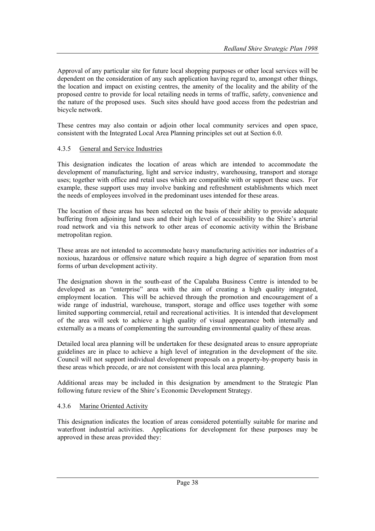Approval of any particular site for future local shopping purposes or other local services will be dependent on the consideration of any such application having regard to, amongst other things, the location and impact on existing centres, the amenity of the locality and the ability of the proposed centre to provide for local retailing needs in terms of traffic, safety, convenience and the nature of the proposed uses. Such sites should have good access from the pedestrian and bicycle network.

These centres may also contain or adjoin other local community services and open space, consistent with the Integrated Local Area Planning principles set out at Section 6.0.

## 4.3.5 General and Service Industries

This designation indicates the location of areas which are intended to accommodate the development of manufacturing, light and service industry, warehousing, transport and storage uses; together with office and retail uses which are compatible with or support these uses. For example, these support uses may involve banking and refreshment establishments which meet the needs of employees involved in the predominant uses intended for these areas.

The location of these areas has been selected on the basis of their ability to provide adequate buffering from adjoining land uses and their high level of accessibility to the Shire's arterial road network and via this network to other areas of economic activity within the Brisbane metropolitan region.

These areas are not intended to accommodate heavy manufacturing activities nor industries of a noxious, hazardous or offensive nature which require a high degree of separation from most forms of urban development activity.

The designation shown in the south-east of the Capalaba Business Centre is intended to be developed as an "enterprise" area with the aim of creating a high quality integrated, employment location. This will be achieved through the promotion and encouragement of a wide range of industrial, warehouse, transport, storage and office uses together with some limited supporting commercial, retail and recreational activities. It is intended that development of the area will seek to achieve a high quality of visual appearance both internally and externally as a means of complementing the surrounding environmental quality of these areas.

Detailed local area planning will be undertaken for these designated areas to ensure appropriate guidelines are in place to achieve a high level of integration in the development of the site. Council will not support individual development proposals on a property-by-property basis in these areas which precede, or are not consistent with this local area planning.

Additional areas may be included in this designation by amendment to the Strategic Plan following future review of the Shire's Economic Development Strategy.

## 4.3.6 Marine Oriented Activity

This designation indicates the location of areas considered potentially suitable for marine and waterfront industrial activities. Applications for development for these purposes may be approved in these areas provided they: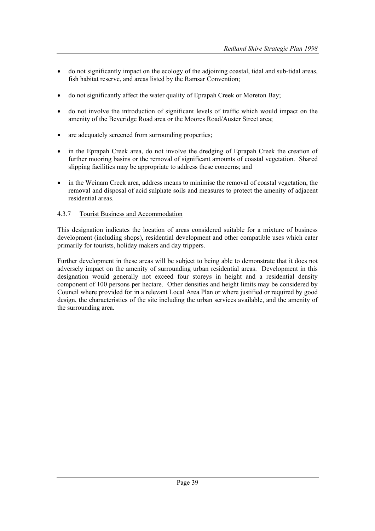- do not significantly impact on the ecology of the adjoining coastal, tidal and sub-tidal areas, fish habitat reserve, and areas listed by the Ramsar Convention;
- do not significantly affect the water quality of Eprapah Creek or Moreton Bay;
- do not involve the introduction of significant levels of traffic which would impact on the amenity of the Beveridge Road area or the Moores Road/Auster Street area;
- are adequately screened from surrounding properties:
- in the Eprapah Creek area, do not involve the dredging of Eprapah Creek the creation of further mooring basins or the removal of significant amounts of coastal vegetation. Shared slipping facilities may be appropriate to address these concerns; and
- in the Weinam Creek area, address means to minimise the removal of coastal vegetation, the removal and disposal of acid sulphate soils and measures to protect the amenity of adjacent residential areas.

## 4.3.7 Tourist Business and Accommodation

This designation indicates the location of areas considered suitable for a mixture of business development (including shops), residential development and other compatible uses which cater primarily for tourists, holiday makers and day trippers.

Further development in these areas will be subject to being able to demonstrate that it does not adversely impact on the amenity of surrounding urban residential areas. Development in this designation would generally not exceed four storeys in height and a residential density component of 100 persons per hectare. Other densities and height limits may be considered by Council where provided for in a relevant Local Area Plan or where justified or required by good design, the characteristics of the site including the urban services available, and the amenity of the surrounding area.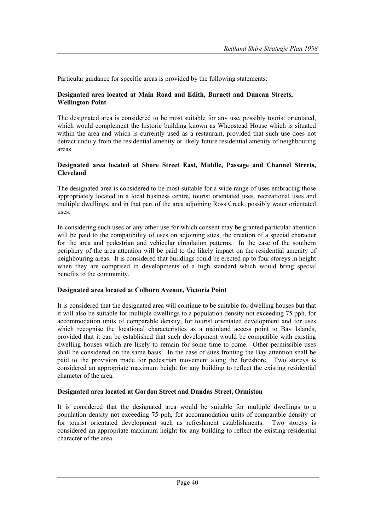Particular guidance for specific areas is provided by the following statements:

## **Designated area located at Main Road and Edith, Burnett and Duncan Streets, Wellington Point**

The designated area is considered to be most suitable for any use, possibly tourist orientated, which would complement the historic building known as Whepstead House which is situated within the area and which is currently used as a restaurant, provided that such use does not detract unduly from the residential amenity or likely future residential amenity of neighbouring areas.

#### **Designated area located at Shore Street East, Middle, Passage and Channel Streets, Cleveland**

The designated area is considered to be most suitable for a wide range of uses embracing those appropriately located in a local business centre, tourist orientated uses, recreational uses and multiple dwellings, and in that part of the area adjoining Ross Creek, possibly water orientated uses.

In considering such uses or any other use for which consent may be granted particular attention will be paid to the compatibility of uses on adjoining sites, the creation of a special character for the area and pedestrian and vehicular circulation patterns. In the case of the southern periphery of the area attention will be paid to the likely impact on the residential amenity of neighbouring areas. It is considered that buildings could be erected up to four storeys in height when they are comprised in developments of a high standard which would bring special benefits to the community.

## **Designated area located at Colburn Avenue, Victoria Point**

It is considered that the designated area will continue to be suitable for dwelling houses but that it will also be suitable for multiple dwellings to a population density not exceeding 75 pph, for accommodation units of comparable density, for tourist orientated development and for uses which recognise the locational characteristics as a mainland access point to Bay Islands, provided that it can be established that such development would be compatible with existing dwelling houses which are likely to remain for some time to come. Other permissible uses shall be considered on the same basis. In the case of sites fronting the Bay attention shall be paid to the provision made for pedestrian movement along the foreshore. Two storeys is considered an appropriate maximum height for any building to reflect the existing residential character of the area.

#### **Designated area located at Gordon Street and Dundas Street, Ormiston**

It is considered that the designated area would be suitable for multiple dwellings to a population density not exceeding 75 pph, for accommodation units of comparable density or for tourist orientated development such as refreshment establishments. Two storeys is considered an appropriate maximum height for any building to reflect the existing residential character of the area.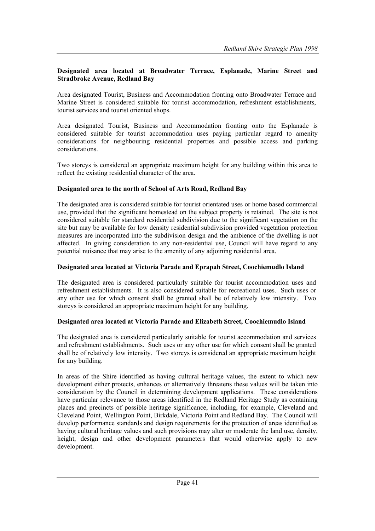## **Designated area located at Broadwater Terrace, Esplanade, Marine Street and Stradbroke Avenue, Redland Bay**

Area designated Tourist, Business and Accommodation fronting onto Broadwater Terrace and Marine Street is considered suitable for tourist accommodation, refreshment establishments, tourist services and tourist oriented shops.

Area designated Tourist, Business and Accommodation fronting onto the Esplanade is considered suitable for tourist accommodation uses paying particular regard to amenity considerations for neighbouring residential properties and possible access and parking considerations.

Two storeys is considered an appropriate maximum height for any building within this area to reflect the existing residential character of the area.

## **Designated area to the north of School of Arts Road, Redland Bay**

The designated area is considered suitable for tourist orientated uses or home based commercial use, provided that the significant homestead on the subject property is retained. The site is not considered suitable for standard residential subdivision due to the significant vegetation on the site but may be available for low density residential subdivision provided vegetation protection measures are incorporated into the subdivision design and the ambience of the dwelling is not affected. In giving consideration to any non-residential use, Council will have regard to any potential nuisance that may arise to the amenity of any adjoining residential area.

## **Designated area located at Victoria Parade and Eprapah Street, Coochiemudlo Island**

The designated area is considered particularly suitable for tourist accommodation uses and refreshment establishments. It is also considered suitable for recreational uses. Such uses or any other use for which consent shall be granted shall be of relatively low intensity. Two storeys is considered an appropriate maximum height for any building.

## **Designated area located at Victoria Parade and Elizabeth Street, Coochiemudlo Island**

The designated area is considered particularly suitable for tourist accommodation and services and refreshment establishments. Such uses or any other use for which consent shall be granted shall be of relatively low intensity. Two storeys is considered an appropriate maximum height for any building.

In areas of the Shire identified as having cultural heritage values, the extent to which new development either protects, enhances or alternatively threatens these values will be taken into consideration by the Council in determining development applications. These considerations have particular relevance to those areas identified in the Redland Heritage Study as containing places and precincts of possible heritage significance, including, for example, Cleveland and Cleveland Point, Wellington Point, Birkdale, Victoria Point and Redland Bay. The Council will develop performance standards and design requirements for the protection of areas identified as having cultural heritage values and such provisions may alter or moderate the land use, density, height, design and other development parameters that would otherwise apply to new development.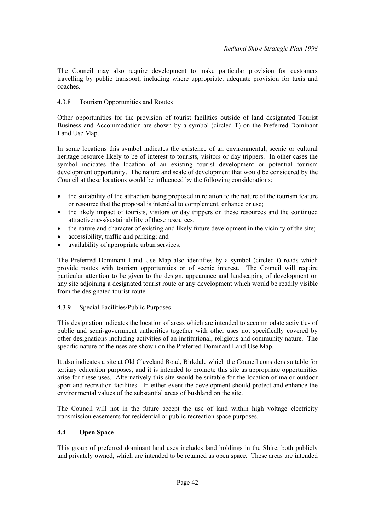The Council may also require development to make particular provision for customers travelling by public transport, including where appropriate, adequate provision for taxis and coaches.

## 4.3.8 Tourism Opportunities and Routes

Other opportunities for the provision of tourist facilities outside of land designated Tourist Business and Accommodation are shown by a symbol (circled T) on the Preferred Dominant Land Use Map.

In some locations this symbol indicates the existence of an environmental, scenic or cultural heritage resource likely to be of interest to tourists, visitors or day trippers. In other cases the symbol indicates the location of an existing tourist development or potential tourism development opportunity. The nature and scale of development that would be considered by the Council at these locations would be influenced by the following considerations:

- the suitability of the attraction being proposed in relation to the nature of the tourism feature or resource that the proposal is intended to complement, enhance or use;
- the likely impact of tourists, visitors or day trippers on these resources and the continued attractiveness/sustainability of these resources;
- the nature and character of existing and likely future development in the vicinity of the site;
- accessibility, traffic and parking; and
- availability of appropriate urban services.

The Preferred Dominant Land Use Map also identifies by a symbol (circled t) roads which provide routes with tourism opportunities or of scenic interest. The Council will require particular attention to be given to the design, appearance and landscaping of development on any site adjoining a designated tourist route or any development which would be readily visible from the designated tourist route.

## 4.3.9 Special Facilities/Public Purposes

This designation indicates the location of areas which are intended to accommodate activities of public and semi-government authorities together with other uses not specifically covered by other designations including activities of an institutional, religious and community nature. The specific nature of the uses are shown on the Preferred Dominant Land Use Map.

It also indicates a site at Old Cleveland Road, Birkdale which the Council considers suitable for tertiary education purposes, and it is intended to promote this site as appropriate opportunities arise for these uses. Alternatively this site would be suitable for the location of major outdoor sport and recreation facilities. In either event the development should protect and enhance the environmental values of the substantial areas of bushland on the site.

The Council will not in the future accept the use of land within high voltage electricity transmission easements for residential or public recreation space purposes.

## **4.4 Open Space**

This group of preferred dominant land uses includes land holdings in the Shire, both publicly and privately owned, which are intended to be retained as open space. These areas are intended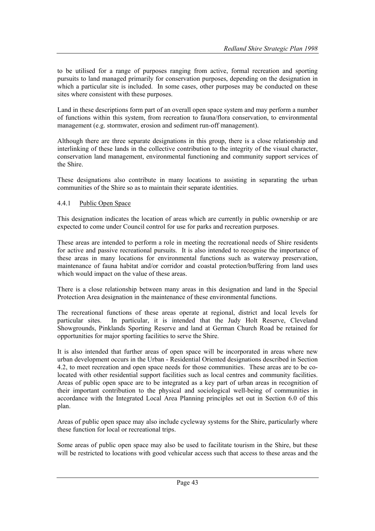to be utilised for a range of purposes ranging from active, formal recreation and sporting pursuits to land managed primarily for conservation purposes, depending on the designation in which a particular site is included. In some cases, other purposes may be conducted on these sites where consistent with these purposes.

Land in these descriptions form part of an overall open space system and may perform a number of functions within this system, from recreation to fauna/flora conservation, to environmental management (e.g. stormwater, erosion and sediment run-off management).

Although there are three separate designations in this group, there is a close relationship and interlinking of these lands in the collective contribution to the integrity of the visual character, conservation land management, environmental functioning and community support services of the Shire.

These designations also contribute in many locations to assisting in separating the urban communities of the Shire so as to maintain their separate identities.

## 4.4.1 Public Open Space

This designation indicates the location of areas which are currently in public ownership or are expected to come under Council control for use for parks and recreation purposes.

These areas are intended to perform a role in meeting the recreational needs of Shire residents for active and passive recreational pursuits. It is also intended to recognise the importance of these areas in many locations for environmental functions such as waterway preservation, maintenance of fauna habitat and/or corridor and coastal protection/buffering from land uses which would impact on the value of these areas.

There is a close relationship between many areas in this designation and land in the Special Protection Area designation in the maintenance of these environmental functions.

The recreational functions of these areas operate at regional, district and local levels for particular sites. In particular, it is intended that the Judy Holt Reserve, Cleveland Showgrounds, Pinklands Sporting Reserve and land at German Church Road be retained for opportunities for major sporting facilities to serve the Shire.

It is also intended that further areas of open space will be incorporated in areas where new urban development occurs in the Urban - Residential Oriented designations described in Section 4.2, to meet recreation and open space needs for those communities. These areas are to be colocated with other residential support facilities such as local centres and community facilities. Areas of public open space are to be integrated as a key part of urban areas in recognition of their important contribution to the physical and sociological well-being of communities in accordance with the Integrated Local Area Planning principles set out in Section 6.0 of this plan.

Areas of public open space may also include cycleway systems for the Shire, particularly where these function for local or recreational trips.

Some areas of public open space may also be used to facilitate tourism in the Shire, but these will be restricted to locations with good vehicular access such that access to these areas and the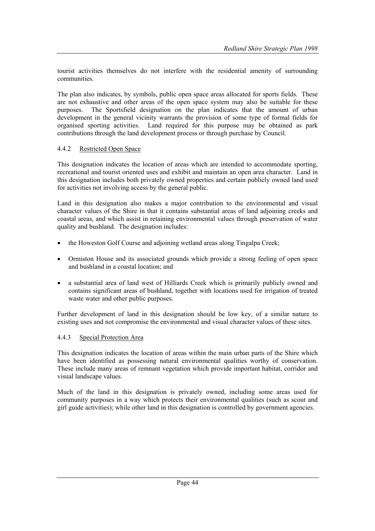tourist activities themselves do not interfere with the residential amenity of surrounding communities.

The plan also indicates, by symbols, public open space areas allocated for sports fields. These are not exhaustive and other areas of the open space system may also be suitable for these purposes. The Sportsfield designation on the plan indicates that the amount of urban development in the general vicinity warrants the provision of some type of formal fields for organised sporting activities. Land required for this purpose may be obtained as park contributions through the land development process or through purchase by Council.

## 4.4.2 Restricted Open Space

This designation indicates the location of areas which are intended to accommodate sporting, recreational and tourist oriented uses and exhibit and maintain an open area character. Land in this designation includes both privately owned properties and certain publicly owned land used for activities not involving access by the general public.

Land in this designation also makes a major contribution to the environmental and visual character values of the Shire in that it contains substantial areas of land adjoining creeks and coastal areas, and which assist in retaining environmental values through preservation of water quality and bushland. The designation includes:

- the Howeston Golf Course and adjoining wetland areas along Tingalpa Creek;
- Ormiston House and its associated grounds which provide a strong feeling of open space and bushland in a coastal location; and
- a substantial area of land west of Hilliards Creek which is primarily publicly owned and contains significant areas of bushland, together with locations used for irrigation of treated waste water and other public purposes.

Further development of land in this designation should be low key, of a similar nature to existing uses and not compromise the environmental and visual character values of these sites.

## 4.4.3 Special Protection Area

This designation indicates the location of areas within the main urban parts of the Shire which have been identified as possessing natural environmental qualities worthy of conservation. These include many areas of remnant vegetation which provide important habitat, corridor and visual landscape values.

Much of the land in this designation is privately owned, including some areas used for community purposes in a way which protects their environmental qualities (such as scout and girl guide activities); while other land in this designation is controlled by government agencies.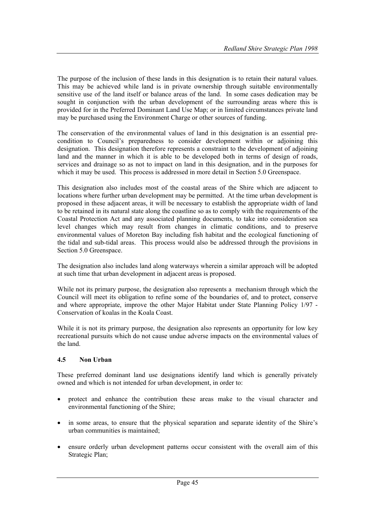The purpose of the inclusion of these lands in this designation is to retain their natural values. This may be achieved while land is in private ownership through suitable environmentally sensitive use of the land itself or balance areas of the land. In some cases dedication may be sought in conjunction with the urban development of the surrounding areas where this is provided for in the Preferred Dominant Land Use Map; or in limited circumstances private land may be purchased using the Environment Charge or other sources of funding.

The conservation of the environmental values of land in this designation is an essential precondition to Council's preparedness to consider development within or adjoining this designation. This designation therefore represents a constraint to the development of adjoining land and the manner in which it is able to be developed both in terms of design of roads, services and drainage so as not to impact on land in this designation, and in the purposes for which it may be used. This process is addressed in more detail in Section 5.0 Greenspace.

This designation also includes most of the coastal areas of the Shire which are adjacent to locations where further urban development may be permitted. At the time urban development is proposed in these adjacent areas, it will be necessary to establish the appropriate width of land to be retained in its natural state along the coastline so as to comply with the requirements of the Coastal Protection Act and any associated planning documents, to take into consideration sea level changes which may result from changes in climatic conditions, and to preserve environmental values of Moreton Bay including fish habitat and the ecological functioning of the tidal and sub-tidal areas. This process would also be addressed through the provisions in Section 5.0 Greenspace.

The designation also includes land along waterways wherein a similar approach will be adopted at such time that urban development in adjacent areas is proposed.

While not its primary purpose, the designation also represents a mechanism through which the Council will meet its obligation to refine some of the boundaries of, and to protect, conserve and where appropriate, improve the other Major Habitat under State Planning Policy 1/97 - Conservation of koalas in the Koala Coast.

While it is not its primary purpose, the designation also represents an opportunity for low key recreational pursuits which do not cause undue adverse impacts on the environmental values of the land.

## **4.5 Non Urban**

These preferred dominant land use designations identify land which is generally privately owned and which is not intended for urban development, in order to:

- protect and enhance the contribution these areas make to the visual character and environmental functioning of the Shire;
- in some areas, to ensure that the physical separation and separate identity of the Shire's urban communities is maintained;
- ensure orderly urban development patterns occur consistent with the overall aim of this Strategic Plan;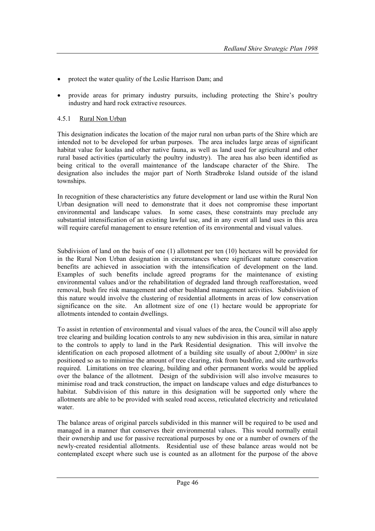- protect the water quality of the Leslie Harrison Dam; and
- provide areas for primary industry pursuits, including protecting the Shire's poultry industry and hard rock extractive resources.

## 4.5.1 Rural Non Urban

This designation indicates the location of the major rural non urban parts of the Shire which are intended not to be developed for urban purposes. The area includes large areas of significant habitat value for koalas and other native fauna, as well as land used for agricultural and other rural based activities (particularly the poultry industry). The area has also been identified as being critical to the overall maintenance of the landscape character of the Shire. The designation also includes the major part of North Stradbroke Island outside of the island townships.

In recognition of these characteristics any future development or land use within the Rural Non Urban designation will need to demonstrate that it does not compromise these important environmental and landscape values. In some cases, these constraints may preclude any substantial intensification of an existing lawful use, and in any event all land uses in this area will require careful management to ensure retention of its environmental and visual values.

Subdivision of land on the basis of one (1) allotment per ten (10) hectares will be provided for in the Rural Non Urban designation in circumstances where significant nature conservation benefits are achieved in association with the intensification of development on the land. Examples of such benefits include agreed programs for the maintenance of existing environmental values and/or the rehabilitation of degraded land through reafforestation, weed removal, bush fire risk management and other bushland management activities. Subdivision of this nature would involve the clustering of residential allotments in areas of low conservation significance on the site. An allotment size of one (1) hectare would be appropriate for allotments intended to contain dwellings.

To assist in retention of environmental and visual values of the area, the Council will also apply tree clearing and building location controls to any new subdivision in this area, similar in nature to the controls to apply to land in the Park Residential designation. This will involve the identification on each proposed allotment of a building site usually of about  $2,000m<sup>2</sup>$  in size positioned so as to minimise the amount of tree clearing, risk from bushfire, and site earthworks required. Limitations on tree clearing, building and other permanent works would be applied over the balance of the allotment. Design of the subdivision will also involve measures to minimise road and track construction, the impact on landscape values and edge disturbances to habitat. Subdivision of this nature in this designation will be supported only where the allotments are able to be provided with sealed road access, reticulated electricity and reticulated water.

The balance areas of original parcels subdivided in this manner will be required to be used and managed in a manner that conserves their environmental values. This would normally entail their ownership and use for passive recreational purposes by one or a number of owners of the newly-created residential allotments. Residential use of these balance areas would not be contemplated except where such use is counted as an allotment for the purpose of the above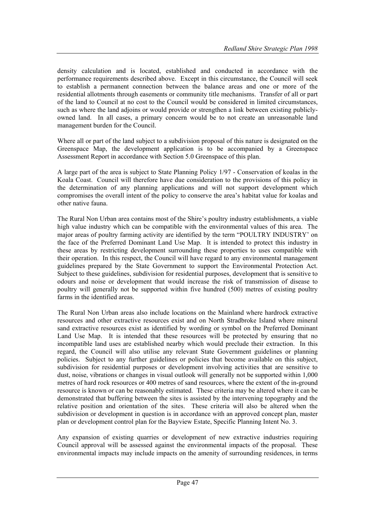density calculation and is located, established and conducted in accordance with the performance requirements described above. Except in this circumstance, the Council will seek to establish a permanent connection between the balance areas and one or more of the residential allotments through easements or community title mechanisms. Transfer of all or part of the land to Council at no cost to the Council would be considered in limited circumstances, such as where the land adjoins or would provide or strengthen a link between existing publiclyowned land. In all cases, a primary concern would be to not create an unreasonable land management burden for the Council.

Where all or part of the land subject to a subdivision proposal of this nature is designated on the Greenspace Map, the development application is to be accompanied by a Greenspace Assessment Report in accordance with Section 5.0 Greenspace of this plan.

A large part of the area is subject to State Planning Policy 1/97 - Conservation of koalas in the Koala Coast. Council will therefore have due consideration to the provisions of this policy in the determination of any planning applications and will not support development which compromises the overall intent of the policy to conserve the area's habitat value for koalas and other native fauna.

The Rural Non Urban area contains most of the Shire's poultry industry establishments, a viable high value industry which can be compatible with the environmental values of this area. The major areas of poultry farming activity are identified by the term "POULTRY INDUSTRY' on the face of the Preferred Dominant Land Use Map. It is intended to protect this industry in these areas by restricting development surrounding these properties to uses compatible with their operation. In this respect, the Council will have regard to any environmental management guidelines prepared by the State Government to support the Environmental Protection Act. Subject to these guidelines, subdivision for residential purposes, development that is sensitive to odours and noise or development that would increase the risk of transmission of disease to poultry will generally not be supported within five hundred (500) metres of existing poultry farms in the identified areas.

The Rural Non Urban areas also include locations on the Mainland where hardrock extractive resources and other extractive resources exist and on North Stradbroke Island where mineral sand extractive resources exist as identified by wording or symbol on the Preferred Dominant Land Use Map. It is intended that these resources will be protected by ensuring that no incompatible land uses are established nearby which would preclude their extraction. In this regard, the Council will also utilise any relevant State Government guidelines or planning policies. Subject to any further guidelines or policies that become available on this subject, subdivision for residential purposes or development involving activities that are sensitive to dust, noise, vibrations or changes in visual outlook will generally not be supported within 1,000 metres of hard rock resources or 400 metres of sand resources, where the extent of the in-ground resource is known or can be reasonably estimated. These criteria may be altered where it can be demonstrated that buffering between the sites is assisted by the intervening topography and the relative position and orientation of the sites. These criteria will also be altered when the subdivision or development in question is in accordance with an approved concept plan, master plan or development control plan for the Bayview Estate, Specific Planning Intent No. 3.

Any expansion of existing quarries or development of new extractive industries requiring Council approval will be assessed against the environmental impacts of the proposal. These environmental impacts may include impacts on the amenity of surrounding residences, in terms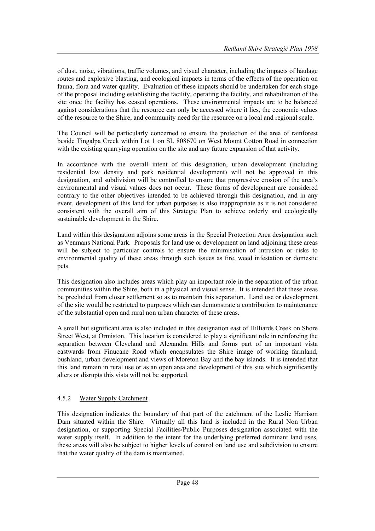of dust, noise, vibrations, traffic volumes, and visual character, including the impacts of haulage routes and explosive blasting, and ecological impacts in terms of the effects of the operation on fauna, flora and water quality. Evaluation of these impacts should be undertaken for each stage of the proposal including establishing the facility, operating the facility, and rehabilitation of the site once the facility has ceased operations. These environmental impacts are to be balanced against considerations that the resource can only be accessed where it lies, the economic values of the resource to the Shire, and community need for the resource on a local and regional scale.

The Council will be particularly concerned to ensure the protection of the area of rainforest beside Tingalpa Creek within Lot 1 on SL 808670 on West Mount Cotton Road in connection with the existing quarrying operation on the site and any future expansion of that activity.

In accordance with the overall intent of this designation, urban development (including residential low density and park residential development) will not be approved in this designation, and subdivision will be controlled to ensure that progressive erosion of the area's environmental and visual values does not occur. These forms of development are considered contrary to the other objectives intended to be achieved through this designation, and in any event, development of this land for urban purposes is also inappropriate as it is not considered consistent with the overall aim of this Strategic Plan to achieve orderly and ecologically sustainable development in the Shire.

Land within this designation adjoins some areas in the Special Protection Area designation such as Venmans National Park. Proposals for land use or development on land adjoining these areas will be subject to particular controls to ensure the minimisation of intrusion or risks to environmental quality of these areas through such issues as fire, weed infestation or domestic pets.

This designation also includes areas which play an important role in the separation of the urban communities within the Shire, both in a physical and visual sense. It is intended that these areas be precluded from closer settlement so as to maintain this separation. Land use or development of the site would be restricted to purposes which can demonstrate a contribution to maintenance of the substantial open and rural non urban character of these areas.

A small but significant area is also included in this designation east of Hilliards Creek on Shore Street West, at Ormiston. This location is considered to play a significant role in reinforcing the separation between Cleveland and Alexandra Hills and forms part of an important vista eastwards from Finucane Road which encapsulates the Shire image of working farmland, bushland, urban development and views of Moreton Bay and the bay islands. It is intended that this land remain in rural use or as an open area and development of this site which significantly alters or disrupts this vista will not be supported.

## 4.5.2 Water Supply Catchment

This designation indicates the boundary of that part of the catchment of the Leslie Harrison Dam situated within the Shire. Virtually all this land is included in the Rural Non Urban designation, or supporting Special Facilities/Public Purposes designation associated with the water supply itself. In addition to the intent for the underlying preferred dominant land uses, these areas will also be subject to higher levels of control on land use and subdivision to ensure that the water quality of the dam is maintained.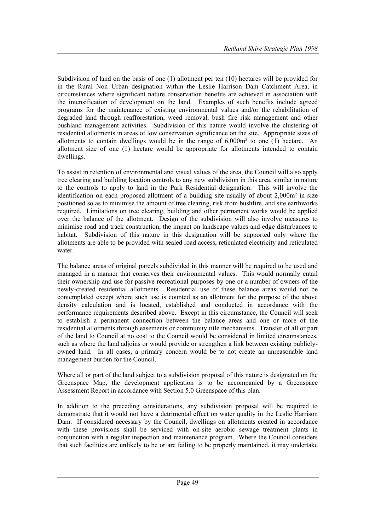Subdivision of land on the basis of one (1) allotment per ten (10) hectares will be provided for in the Rural Non Urban designation within the Leslie Harrison Dam Catchment Area, in circumstances where significant nature conservation benefits are achieved in association with the intensification of development on the land. Examples of such benefits include agreed programs for the maintenance of existing environmental values and/or the rehabilitation of degraded land through reafforestation, weed removal, bush fire risk management and other bushland management activities. Subdivision of this nature would involve the clustering of residential allotments in areas of low conservation significance on the site. Appropriate sizes of allotments to contain dwellings would be in the range of 6,000m² to one (1) hectare. An allotment size of one (1) hectare would be appropriate for allotments intended to contain dwellings.

To assist in retention of environmental and visual values of the area, the Council will also apply tree clearing and building location controls to any new subdivision in this area, similar in nature to the controls to apply to land in the Park Residential designation. This will involve the identification on each proposed allotment of a building site usually of about  $2,000m<sup>2</sup>$  in size positioned so as to minimise the amount of tree clearing, risk from bushfire, and site earthworks required. Limitations on tree clearing, building and other permanent works would be applied over the balance of the allotment. Design of the subdivision will also involve measures to minimise road and track construction, the impact on landscape values and edge disturbances to habitat. Subdivision of this nature in this designation will be supported only where the allotments are able to be provided with sealed road access, reticulated electricity and reticulated water.

The balance areas of original parcels subdivided in this manner will be required to be used and managed in a manner that conserves their environmental values. This would normally entail their ownership and use for passive recreational purposes by one or a number of owners of the newly-created residential allotments. Residential use of these balance areas would not be contemplated except where such use is counted as an allotment for the purpose of the above density calculation and is located, established and conducted in accordance with the performance requirements described above. Except in this circumstance, the Council will seek to establish a permanent connection between the balance areas and one or more of the residential allotments through easements or community title mechanisms. Transfer of all or part of the land to Council at no cost to the Council would be considered in limited circumstances, such as where the land adjoins or would provide or strengthen a link between existing publiclyowned land. In all cases, a primary concern would be to not create an unreasonable land management burden for the Council.

Where all or part of the land subject to a subdivision proposal of this nature is designated on the Greenspace Map, the development application is to be accompanied by a Greenspace Assessment Report in accordance with Section 5.0 Greenspace of this plan.

In addition to the preceding considerations, any subdivision proposal will be required to demonstrate that it would not have a detrimental effect on water quality in the Leslie Harrison Dam. If considered necessary by the Council, dwellings on allotments created in accordance with these provisions shall be serviced with on-site aerobic sewage treatment plants in conjunction with a regular inspection and maintenance program. Where the Council considers that such facilities are unlikely to be or are failing to be properly maintained, it may undertake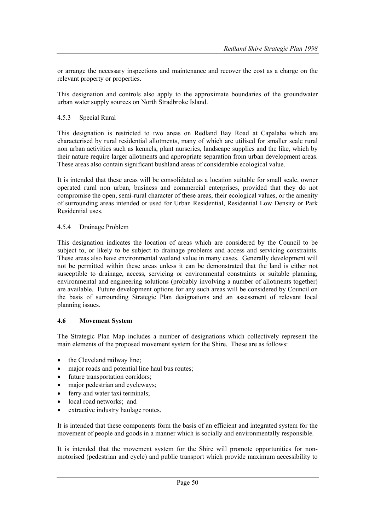or arrange the necessary inspections and maintenance and recover the cost as a charge on the relevant property or properties.

This designation and controls also apply to the approximate boundaries of the groundwater urban water supply sources on North Stradbroke Island.

## 4.5.3 Special Rural

This designation is restricted to two areas on Redland Bay Road at Capalaba which are characterised by rural residential allotments, many of which are utilised for smaller scale rural non urban activities such as kennels, plant nurseries, landscape supplies and the like, which by their nature require larger allotments and appropriate separation from urban development areas. These areas also contain significant bushland areas of considerable ecological value.

It is intended that these areas will be consolidated as a location suitable for small scale, owner operated rural non urban, business and commercial enterprises, provided that they do not compromise the open, semi-rural character of these areas, their ecological values, or the amenity of surrounding areas intended or used for Urban Residential, Residential Low Density or Park Residential uses.

## 4.5.4 Drainage Problem

This designation indicates the location of areas which are considered by the Council to be subject to, or likely to be subject to drainage problems and access and servicing constraints. These areas also have environmental wetland value in many cases. Generally development will not be permitted within these areas unless it can be demonstrated that the land is either not susceptible to drainage, access, servicing or environmental constraints or suitable planning, environmental and engineering solutions (probably involving a number of allotments together) are available. Future development options for any such areas will be considered by Council on the basis of surrounding Strategic Plan designations and an assessment of relevant local planning issues.

## **4.6 Movement System**

The Strategic Plan Map includes a number of designations which collectively represent the main elements of the proposed movement system for the Shire. These are as follows:

- the Cleveland railway line;
- major roads and potential line haul bus routes;
- future transportation corridors:
- major pedestrian and cycleways;
- ferry and water taxi terminals;
- local road networks; and
- extractive industry haulage routes.

It is intended that these components form the basis of an efficient and integrated system for the movement of people and goods in a manner which is socially and environmentally responsible.

It is intended that the movement system for the Shire will promote opportunities for nonmotorised (pedestrian and cycle) and public transport which provide maximum accessibility to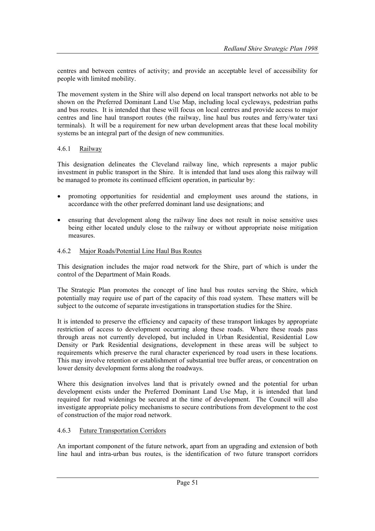centres and between centres of activity; and provide an acceptable level of accessibility for people with limited mobility.

The movement system in the Shire will also depend on local transport networks not able to be shown on the Preferred Dominant Land Use Map, including local cycleways, pedestrian paths and bus routes. It is intended that these will focus on local centres and provide access to major centres and line haul transport routes (the railway, line haul bus routes and ferry/water taxi terminals). It will be a requirement for new urban development areas that these local mobility systems be an integral part of the design of new communities.

## 4.6.1 Railway

This designation delineates the Cleveland railway line, which represents a major public investment in public transport in the Shire. It is intended that land uses along this railway will be managed to promote its continued efficient operation, in particular by:

- promoting opportunities for residential and employment uses around the stations, in accordance with the other preferred dominant land use designations; and
- ensuring that development along the railway line does not result in noise sensitive uses being either located unduly close to the railway or without appropriate noise mitigation measures.

## 4.6.2 Major Roads/Potential Line Haul Bus Routes

This designation includes the major road network for the Shire, part of which is under the control of the Department of Main Roads.

The Strategic Plan promotes the concept of line haul bus routes serving the Shire, which potentially may require use of part of the capacity of this road system. These matters will be subject to the outcome of separate investigations in transportation studies for the Shire.

It is intended to preserve the efficiency and capacity of these transport linkages by appropriate restriction of access to development occurring along these roads. Where these roads pass through areas not currently developed, but included in Urban Residential, Residential Low Density or Park Residential designations, development in these areas will be subject to requirements which preserve the rural character experienced by road users in these locations. This may involve retention or establishment of substantial tree buffer areas, or concentration on lower density development forms along the roadways.

Where this designation involves land that is privately owned and the potential for urban development exists under the Preferred Dominant Land Use Map, it is intended that land required for road widenings be secured at the time of development. The Council will also investigate appropriate policy mechanisms to secure contributions from development to the cost of construction of the major road network.

## 4.6.3 Future Transportation Corridors

An important component of the future network, apart from an upgrading and extension of both line haul and intra-urban bus routes, is the identification of two future transport corridors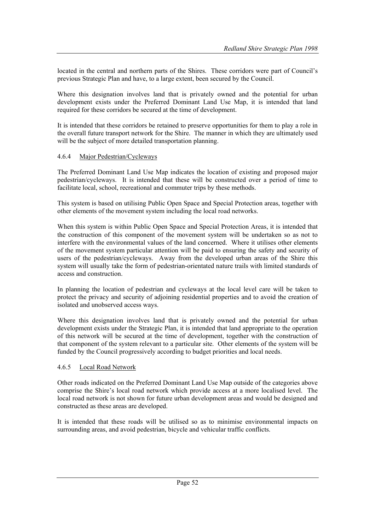located in the central and northern parts of the Shires. These corridors were part of Council's previous Strategic Plan and have, to a large extent, been secured by the Council.

Where this designation involves land that is privately owned and the potential for urban development exists under the Preferred Dominant Land Use Map, it is intended that land required for these corridors be secured at the time of development.

It is intended that these corridors be retained to preserve opportunities for them to play a role in the overall future transport network for the Shire. The manner in which they are ultimately used will be the subject of more detailed transportation planning.

## 4.6.4 Major Pedestrian/Cycleways

The Preferred Dominant Land Use Map indicates the location of existing and proposed major pedestrian/cycleways. It is intended that these will be constructed over a period of time to facilitate local, school, recreational and commuter trips by these methods.

This system is based on utilising Public Open Space and Special Protection areas, together with other elements of the movement system including the local road networks.

When this system is within Public Open Space and Special Protection Areas, it is intended that the construction of this component of the movement system will be undertaken so as not to interfere with the environmental values of the land concerned. Where it utilises other elements of the movement system particular attention will be paid to ensuring the safety and security of users of the pedestrian/cycleways. Away from the developed urban areas of the Shire this system will usually take the form of pedestrian-orientated nature trails with limited standards of access and construction.

In planning the location of pedestrian and cycleways at the local level care will be taken to protect the privacy and security of adjoining residential properties and to avoid the creation of isolated and unobserved access ways.

Where this designation involves land that is privately owned and the potential for urban development exists under the Strategic Plan, it is intended that land appropriate to the operation of this network will be secured at the time of development, together with the construction of that component of the system relevant to a particular site. Other elements of the system will be funded by the Council progressively according to budget priorities and local needs.

## 4.6.5 Local Road Network

Other roads indicated on the Preferred Dominant Land Use Map outside of the categories above comprise the Shire's local road network which provide access at a more localised level. The local road network is not shown for future urban development areas and would be designed and constructed as these areas are developed.

It is intended that these roads will be utilised so as to minimise environmental impacts on surrounding areas, and avoid pedestrian, bicycle and vehicular traffic conflicts.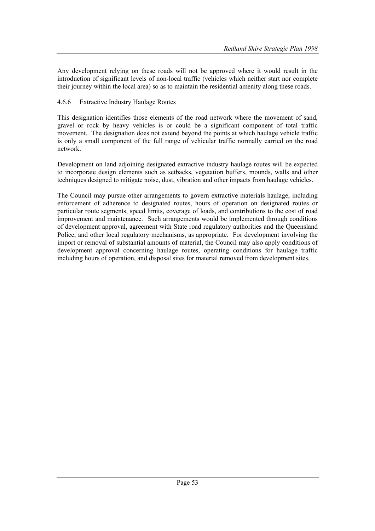Any development relying on these roads will not be approved where it would result in the introduction of significant levels of non-local traffic (vehicles which neither start nor complete their journey within the local area) so as to maintain the residential amenity along these roads.

## 4.6.6 Extractive Industry Haulage Routes

This designation identifies those elements of the road network where the movement of sand, gravel or rock by heavy vehicles is or could be a significant component of total traffic movement. The designation does not extend beyond the points at which haulage vehicle traffic is only a small component of the full range of vehicular traffic normally carried on the road network.

Development on land adjoining designated extractive industry haulage routes will be expected to incorporate design elements such as setbacks, vegetation buffers, mounds, walls and other techniques designed to mitigate noise, dust, vibration and other impacts from haulage vehicles.

The Council may pursue other arrangements to govern extractive materials haulage, including enforcement of adherence to designated routes, hours of operation on designated routes or particular route segments, speed limits, coverage of loads, and contributions to the cost of road improvement and maintenance. Such arrangements would be implemented through conditions of development approval, agreement with State road regulatory authorities and the Queensland Police, and other local regulatory mechanisms, as appropriate. For development involving the import or removal of substantial amounts of material, the Council may also apply conditions of development approval concerning haulage routes, operating conditions for haulage traffic including hours of operation, and disposal sites for material removed from development sites.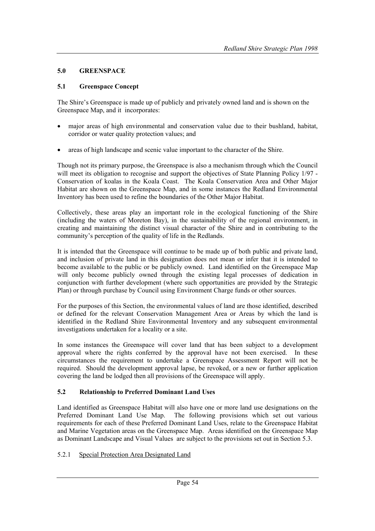## **5.0 GREENSPACE**

## **5.1 Greenspace Concept**

The Shire's Greenspace is made up of publicly and privately owned land and is shown on the Greenspace Map, and it incorporates:

- major areas of high environmental and conservation value due to their bushland, habitat, corridor or water quality protection values; and
- areas of high landscape and scenic value important to the character of the Shire.

Though not its primary purpose, the Greenspace is also a mechanism through which the Council will meet its obligation to recognise and support the objectives of State Planning Policy 1/97 -Conservation of koalas in the Koala Coast. The Koala Conservation Area and Other Major Habitat are shown on the Greenspace Map, and in some instances the Redland Environmental Inventory has been used to refine the boundaries of the Other Major Habitat.

Collectively, these areas play an important role in the ecological functioning of the Shire (including the waters of Moreton Bay), in the sustainability of the regional environment, in creating and maintaining the distinct visual character of the Shire and in contributing to the community's perception of the quality of life in the Redlands.

It is intended that the Greenspace will continue to be made up of both public and private land, and inclusion of private land in this designation does not mean or infer that it is intended to become available to the public or be publicly owned. Land identified on the Greenspace Map will only become publicly owned through the existing legal processes of dedication in conjunction with further development (where such opportunities are provided by the Strategic Plan) or through purchase by Council using Environment Charge funds or other sources.

For the purposes of this Section, the environmental values of land are those identified, described or defined for the relevant Conservation Management Area or Areas by which the land is identified in the Redland Shire Environmental Inventory and any subsequent environmental investigations undertaken for a locality or a site.

In some instances the Greenspace will cover land that has been subject to a development approval where the rights conferred by the approval have not been exercised. In these circumstances the requirement to undertake a Greenspace Assessment Report will not be required. Should the development approval lapse, be revoked, or a new or further application covering the land be lodged then all provisions of the Greenspace will apply.

## **5.2 Relationship to Preferred Dominant Land Uses**

Land identified as Greenspace Habitat will also have one or more land use designations on the Preferred Dominant Land Use Map. The following provisions which set out various requirements for each of these Preferred Dominant Land Uses, relate to the Greenspace Habitat and Marine Vegetation areas on the Greenspace Map. Areas identified on the Greenspace Map as Dominant Landscape and Visual Values are subject to the provisions set out in Section 5.3.

## 5.2.1 Special Protection Area Designated Land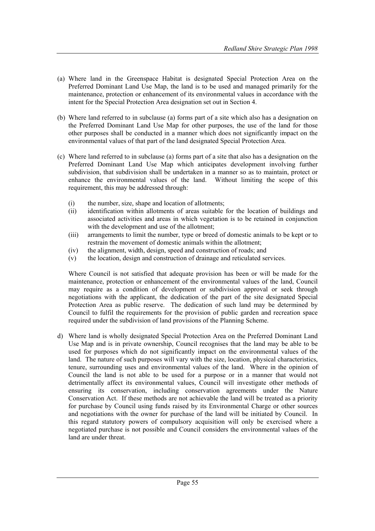- (a) Where land in the Greenspace Habitat is designated Special Protection Area on the Preferred Dominant Land Use Map, the land is to be used and managed primarily for the maintenance, protection or enhancement of its environmental values in accordance with the intent for the Special Protection Area designation set out in Section 4.
- (b) Where land referred to in subclause (a) forms part of a site which also has a designation on the Preferred Dominant Land Use Map for other purposes, the use of the land for those other purposes shall be conducted in a manner which does not significantly impact on the environmental values of that part of the land designated Special Protection Area.
- (c) Where land referred to in subclause (a) forms part of a site that also has a designation on the Preferred Dominant Land Use Map which anticipates development involving further subdivision, that subdivision shall be undertaken in a manner so as to maintain, protect or enhance the environmental values of the land. Without limiting the scope of this requirement, this may be addressed through:
	- (i) the number, size, shape and location of allotments;
	- (ii) identification within allotments of areas suitable for the location of buildings and associated activities and areas in which vegetation is to be retained in conjunction with the development and use of the allotment:
	- (iii) arrangements to limit the number, type or breed of domestic animals to be kept or to restrain the movement of domestic animals within the allotment;
	- (iv) the alignment, width, design, speed and construction of roads; and
	- (v) the location, design and construction of drainage and reticulated services.

Where Council is not satisfied that adequate provision has been or will be made for the maintenance, protection or enhancement of the environmental values of the land, Council may require as a condition of development or subdivision approval or seek through negotiations with the applicant, the dedication of the part of the site designated Special Protection Area as public reserve. The dedication of such land may be determined by Council to fulfil the requirements for the provision of public garden and recreation space required under the subdivision of land provisions of the Planning Scheme.

d) Where land is wholly designated Special Protection Area on the Preferred Dominant Land Use Map and is in private ownership, Council recognises that the land may be able to be used for purposes which do not significantly impact on the environmental values of the land. The nature of such purposes will vary with the size, location, physical characteristics, tenure, surrounding uses and environmental values of the land. Where in the opinion of Council the land is not able to be used for a purpose or in a manner that would not detrimentally affect its environmental values, Council will investigate other methods of ensuring its conservation, including conservation agreements under the Nature Conservation Act. If these methods are not achievable the land will be treated as a priority for purchase by Council using funds raised by its Environmental Charge or other sources and negotiations with the owner for purchase of the land will be initiated by Council. In this regard statutory powers of compulsory acquisition will only be exercised where a negotiated purchase is not possible and Council considers the environmental values of the land are under threat.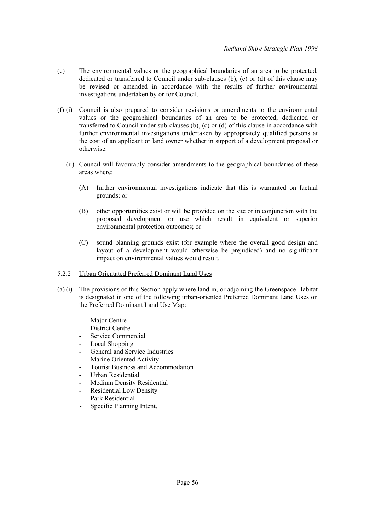- (e) The environmental values or the geographical boundaries of an area to be protected, dedicated or transferred to Council under sub-clauses (b), (c) or (d) of this clause may be revised or amended in accordance with the results of further environmental investigations undertaken by or for Council.
- (f) (i) Council is also prepared to consider revisions or amendments to the environmental values or the geographical boundaries of an area to be protected, dedicated or transferred to Council under sub-clauses (b), (c) or (d) of this clause in accordance with further environmental investigations undertaken by appropriately qualified persons at the cost of an applicant or land owner whether in support of a development proposal or otherwise.
	- (ii) Council will favourably consider amendments to the geographical boundaries of these areas where:
		- (A) further environmental investigations indicate that this is warranted on factual grounds; or
		- (B) other opportunities exist or will be provided on the site or in conjunction with the proposed development or use which result in equivalent or superior environmental protection outcomes; or
		- (C) sound planning grounds exist (for example where the overall good design and layout of a development would otherwise be prejudiced) and no significant impact on environmental values would result.

#### 5.2.2 Urban Orientated Preferred Dominant Land Uses

- (a) (i) The provisions of this Section apply where land in, or adjoining the Greenspace Habitat is designated in one of the following urban-oriented Preferred Dominant Land Uses on the Preferred Dominant Land Use Map:
	- Major Centre
	- District Centre
	- Service Commercial
	- Local Shopping
	- General and Service Industries
	- Marine Oriented Activity
	- Tourist Business and Accommodation
	- Urban Residential
	- Medium Density Residential
	- Residential Low Density
	- Park Residential
	- Specific Planning Intent.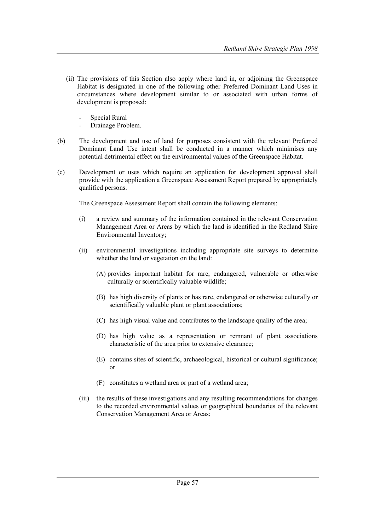- (ii) The provisions of this Section also apply where land in, or adjoining the Greenspace Habitat is designated in one of the following other Preferred Dominant Land Uses in circumstances where development similar to or associated with urban forms of development is proposed:
	- Special Rural
	- Drainage Problem.
- (b) The development and use of land for purposes consistent with the relevant Preferred Dominant Land Use intent shall be conducted in a manner which minimises any potential detrimental effect on the environmental values of the Greenspace Habitat.
- (c) Development or uses which require an application for development approval shall provide with the application a Greenspace Assessment Report prepared by appropriately qualified persons.

The Greenspace Assessment Report shall contain the following elements:

- (i) a review and summary of the information contained in the relevant Conservation Management Area or Areas by which the land is identified in the Redland Shire Environmental Inventory;
- (ii) environmental investigations including appropriate site surveys to determine whether the land or vegetation on the land:
	- (A) provides important habitat for rare, endangered, vulnerable or otherwise culturally or scientifically valuable wildlife;
	- (B) has high diversity of plants or has rare, endangered or otherwise culturally or scientifically valuable plant or plant associations;
	- (C) has high visual value and contributes to the landscape quality of the area;
	- (D) has high value as a representation or remnant of plant associations characteristic of the area prior to extensive clearance;
	- (E) contains sites of scientific, archaeological, historical or cultural significance; or
	- (F) constitutes a wetland area or part of a wetland area;
- (iii) the results of these investigations and any resulting recommendations for changes to the recorded environmental values or geographical boundaries of the relevant Conservation Management Area or Areas;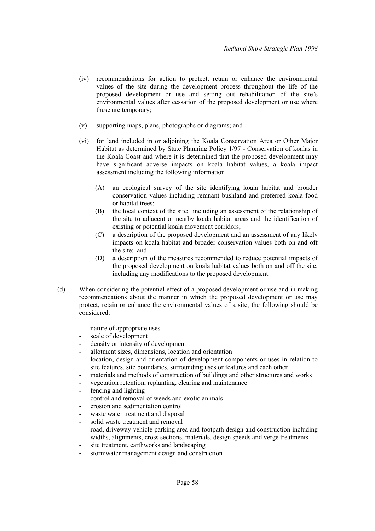- (iv) recommendations for action to protect, retain or enhance the environmental values of the site during the development process throughout the life of the proposed development or use and setting out rehabilitation of the site's environmental values after cessation of the proposed development or use where these are temporary;
- (v) supporting maps, plans, photographs or diagrams; and
- (vi) for land included in or adjoining the Koala Conservation Area or Other Major Habitat as determined by State Planning Policy 1/97 - Conservation of koalas in the Koala Coast and where it is determined that the proposed development may have significant adverse impacts on koala habitat values, a koala impact assessment including the following information
	- (A) an ecological survey of the site identifying koala habitat and broader conservation values including remnant bushland and preferred koala food or habitat trees;
	- (B) the local context of the site; including an assessment of the relationship of the site to adjacent or nearby koala habitat areas and the identification of existing or potential koala movement corridors;
	- (C) a description of the proposed development and an assessment of any likely impacts on koala habitat and broader conservation values both on and off the site; and
	- (D) a description of the measures recommended to reduce potential impacts of the proposed development on koala habitat values both on and off the site, including any modifications to the proposed development.
- (d) When considering the potential effect of a proposed development or use and in making recommendations about the manner in which the proposed development or use may protect, retain or enhance the environmental values of a site, the following should be considered:
	- nature of appropriate uses
	- scale of development
	- density or intensity of development
	- allotment sizes, dimensions, location and orientation
	- location, design and orientation of development components or uses in relation to site features, site boundaries, surrounding uses or features and each other
	- materials and methods of construction of buildings and other structures and works
	- vegetation retention, replanting, clearing and maintenance
	- fencing and lighting
	- control and removal of weeds and exotic animals
	- erosion and sedimentation control
	- waste water treatment and disposal
	- solid waste treatment and removal
	- road, driveway vehicle parking area and footpath design and construction including widths, alignments, cross sections, materials, design speeds and verge treatments
	- site treatment, earthworks and landscaping
	- stormwater management design and construction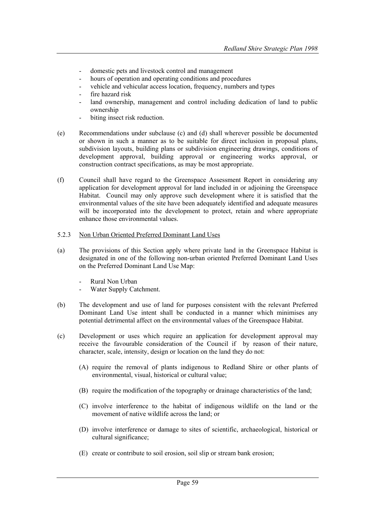- domestic pets and livestock control and management
- hours of operation and operating conditions and procedures
- vehicle and vehicular access location, frequency, numbers and types
- fire hazard risk
- land ownership, management and control including dedication of land to public ownership
- biting insect risk reduction.
- (e) Recommendations under subclause (c) and (d) shall wherever possible be documented or shown in such a manner as to be suitable for direct inclusion in proposal plans, subdivision layouts, building plans or subdivision engineering drawings, conditions of development approval, building approval or engineering works approval, or construction contract specifications, as may be most appropriate.
- (f) Council shall have regard to the Greenspace Assessment Report in considering any application for development approval for land included in or adjoining the Greenspace Habitat. Council may only approve such development where it is satisfied that the environmental values of the site have been adequately identified and adequate measures will be incorporated into the development to protect, retain and where appropriate enhance those environmental values.
- 5.2.3 Non Urban Oriented Preferred Dominant Land Uses
- (a) The provisions of this Section apply where private land in the Greenspace Habitat is designated in one of the following non-urban oriented Preferred Dominant Land Uses on the Preferred Dominant Land Use Map:
	- Rural Non Urban
	- Water Supply Catchment.
- (b) The development and use of land for purposes consistent with the relevant Preferred Dominant Land Use intent shall be conducted in a manner which minimises any potential detrimental affect on the environmental values of the Greenspace Habitat.
- (c) Development or uses which require an application for development approval may receive the favourable consideration of the Council if by reason of their nature, character, scale, intensity, design or location on the land they do not:
	- (A) require the removal of plants indigenous to Redland Shire or other plants of environmental, visual, historical or cultural value;
	- (B) require the modification of the topography or drainage characteristics of the land;
	- (C) involve interference to the habitat of indigenous wildlife on the land or the movement of native wildlife across the land; or
	- (D) involve interference or damage to sites of scientific, archaeological, historical or cultural significance;
	- (E) create or contribute to soil erosion, soil slip or stream bank erosion;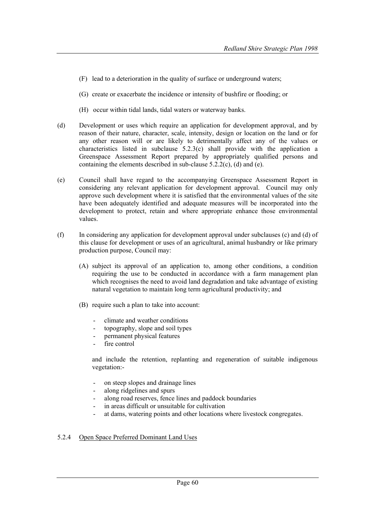- (F) lead to a deterioration in the quality of surface or underground waters;
- (G) create or exacerbate the incidence or intensity of bushfire or flooding; or
- (H) occur within tidal lands, tidal waters or waterway banks.
- (d) Development or uses which require an application for development approval, and by reason of their nature, character, scale, intensity, design or location on the land or for any other reason will or are likely to detrimentally affect any of the values or characteristics listed in subclause  $5.2.3(c)$  shall provide with the application a Greenspace Assessment Report prepared by appropriately qualified persons and containing the elements described in sub-clause  $5.2.2(c)$ , (d) and (e).
- (e) Council shall have regard to the accompanying Greenspace Assessment Report in considering any relevant application for development approval. Council may only approve such development where it is satisfied that the environmental values of the site have been adequately identified and adequate measures will be incorporated into the development to protect, retain and where appropriate enhance those environmental values.
- (f) In considering any application for development approval under subclauses (c) and (d) of this clause for development or uses of an agricultural, animal husbandry or like primary production purpose, Council may:
	- (A) subject its approval of an application to, among other conditions, a condition requiring the use to be conducted in accordance with a farm management plan which recognises the need to avoid land degradation and take advantage of existing natural vegetation to maintain long term agricultural productivity; and
	- (B) require such a plan to take into account:
		- climate and weather conditions
		- topography, slope and soil types
		- permanent physical features
		- fire control

and include the retention, replanting and regeneration of suitable indigenous vegetation:-

- on steep slopes and drainage lines
- along ridgelines and spurs
- along road reserves, fence lines and paddock boundaries
- in areas difficult or unsuitable for cultivation
- at dams, watering points and other locations where livestock congregates.

## 5.2.4 Open Space Preferred Dominant Land Uses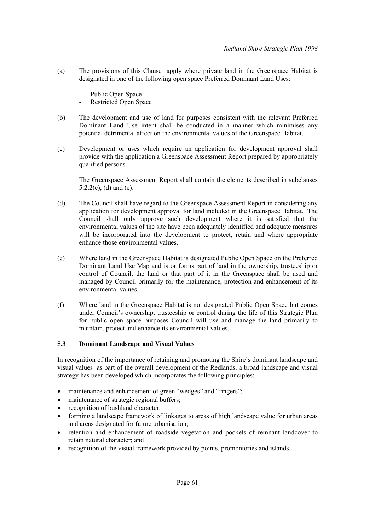- (a) The provisions of this Clause apply where private land in the Greenspace Habitat is designated in one of the following open space Preferred Dominant Land Uses:
	- Public Open Space
	- Restricted Open Space
- (b) The development and use of land for purposes consistent with the relevant Preferred Dominant Land Use intent shall be conducted in a manner which minimises any potential detrimental affect on the environmental values of the Greenspace Habitat.
- (c) Development or uses which require an application for development approval shall provide with the application a Greenspace Assessment Report prepared by appropriately qualified persons.

 The Greenspace Assessment Report shall contain the elements described in subclauses  $5.2.2(c)$ , (d) and (e).

- (d) The Council shall have regard to the Greenspace Assessment Report in considering any application for development approval for land included in the Greenspace Habitat. The Council shall only approve such development where it is satisfied that the environmental values of the site have been adequately identified and adequate measures will be incorporated into the development to protect, retain and where appropriate enhance those environmental values.
- (e) Where land in the Greenspace Habitat is designated Public Open Space on the Preferred Dominant Land Use Map and is or forms part of land in the ownership, trusteeship or control of Council, the land or that part of it in the Greenspace shall be used and managed by Council primarily for the maintenance, protection and enhancement of its environmental values.
- (f) Where land in the Greenspace Habitat is not designated Public Open Space but comes under Council's ownership, trusteeship or control during the life of this Strategic Plan for public open space purposes Council will use and manage the land primarily to maintain, protect and enhance its environmental values.

## **5.3 Dominant Landscape and Visual Values**

In recognition of the importance of retaining and promoting the Shire's dominant landscape and visual values as part of the overall development of the Redlands, a broad landscape and visual strategy has been developed which incorporates the following principles:

- maintenance and enhancement of green "wedges" and "fingers":
- maintenance of strategic regional buffers;
- recognition of bushland character:
- forming a landscape framework of linkages to areas of high landscape value for urban areas and areas designated for future urbanisation;
- retention and enhancement of roadside vegetation and pockets of remnant landcover to retain natural character; and
- recognition of the visual framework provided by points, promontories and islands.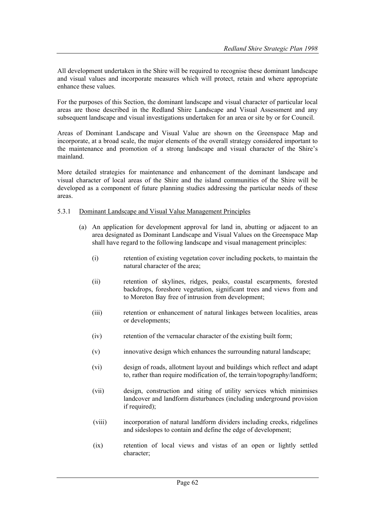All development undertaken in the Shire will be required to recognise these dominant landscape and visual values and incorporate measures which will protect, retain and where appropriate enhance these values.

For the purposes of this Section, the dominant landscape and visual character of particular local areas are those described in the Redland Shire Landscape and Visual Assessment and any subsequent landscape and visual investigations undertaken for an area or site by or for Council.

Areas of Dominant Landscape and Visual Value are shown on the Greenspace Map and incorporate, at a broad scale, the major elements of the overall strategy considered important to the maintenance and promotion of a strong landscape and visual character of the Shire's mainland.

More detailed strategies for maintenance and enhancement of the dominant landscape and visual character of local areas of the Shire and the island communities of the Shire will be developed as a component of future planning studies addressing the particular needs of these areas.

## 5.3.1 Dominant Landscape and Visual Value Management Principles

- (a) An application for development approval for land in, abutting or adjacent to an area designated as Dominant Landscape and Visual Values on the Greenspace Map shall have regard to the following landscape and visual management principles:
	- (i) retention of existing vegetation cover including pockets, to maintain the natural character of the area;
	- (ii) retention of skylines, ridges, peaks, coastal escarpments, forested backdrops, foreshore vegetation, significant trees and views from and to Moreton Bay free of intrusion from development;
	- (iii) retention or enhancement of natural linkages between localities, areas or developments;
	- (iv) retention of the vernacular character of the existing built form;
	- (v) innovative design which enhances the surrounding natural landscape;
	- (vi) design of roads, allotment layout and buildings which reflect and adapt to, rather than require modification of, the terrain/topography/landform;
	- (vii) design, construction and siting of utility services which minimises landcover and landform disturbances (including underground provision if required);
	- (viii) incorporation of natural landform dividers including creeks, ridgelines and sideslopes to contain and define the edge of development;
	- (ix) retention of local views and vistas of an open or lightly settled character;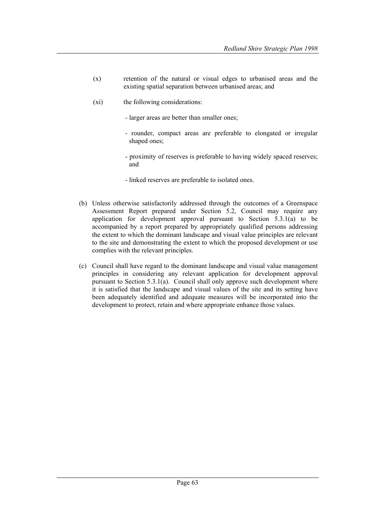- (x) retention of the natural or visual edges to urbanised areas and the existing spatial separation between urbanised areas; and
- (xi) the following considerations:
	- larger areas are better than smaller ones;
	- rounder, compact areas are preferable to elongated or irregular shaped ones;
	- proximity of reserves is preferable to having widely spaced reserves; and
	- linked reserves are preferable to isolated ones.
- (b) Unless otherwise satisfactorily addressed through the outcomes of a Greenspace Assessment Report prepared under Section 5.2, Council may require any application for development approval pursuant to Section  $5.3.1(a)$  to be accompanied by a report prepared by appropriately qualified persons addressing the extent to which the dominant landscape and visual value principles are relevant to the site and demonstrating the extent to which the proposed development or use complies with the relevant principles.
- (c) Council shall have regard to the dominant landscape and visual value management principles in considering any relevant application for development approval pursuant to Section 5.3.1(a). Council shall only approve such development where it is satisfied that the landscape and visual values of the site and its setting have been adequately identified and adequate measures will be incorporated into the development to protect, retain and where appropriate enhance those values.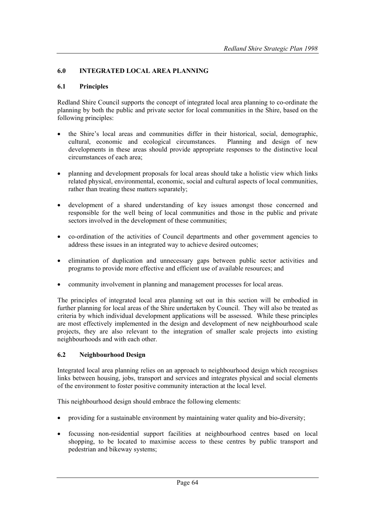## **6.0 INTEGRATED LOCAL AREA PLANNING**

## **6.1 Principles**

Redland Shire Council supports the concept of integrated local area planning to co-ordinate the planning by both the public and private sector for local communities in the Shire, based on the following principles:

- the Shire's local areas and communities differ in their historical, social, demographic, cultural, economic and ecological circumstances. Planning and design of new developments in these areas should provide appropriate responses to the distinctive local circumstances of each area;
- planning and development proposals for local areas should take a holistic view which links related physical, environmental, economic, social and cultural aspects of local communities, rather than treating these matters separately;
- development of a shared understanding of key issues amongst those concerned and responsible for the well being of local communities and those in the public and private sectors involved in the development of these communities:
- co-ordination of the activities of Council departments and other government agencies to address these issues in an integrated way to achieve desired outcomes;
- elimination of duplication and unnecessary gaps between public sector activities and programs to provide more effective and efficient use of available resources; and
- community involvement in planning and management processes for local areas.

The principles of integrated local area planning set out in this section will be embodied in further planning for local areas of the Shire undertaken by Council. They will also be treated as criteria by which individual development applications will be assessed. While these principles are most effectively implemented in the design and development of new neighbourhood scale projects, they are also relevant to the integration of smaller scale projects into existing neighbourhoods and with each other.

## **6.2 Neighbourhood Design**

Integrated local area planning relies on an approach to neighbourhood design which recognises links between housing, jobs, transport and services and integrates physical and social elements of the environment to foster positive community interaction at the local level.

This neighbourhood design should embrace the following elements:

- providing for a sustainable environment by maintaining water quality and bio-diversity;
- focussing non-residential support facilities at neighbourhood centres based on local shopping, to be located to maximise access to these centres by public transport and pedestrian and bikeway systems;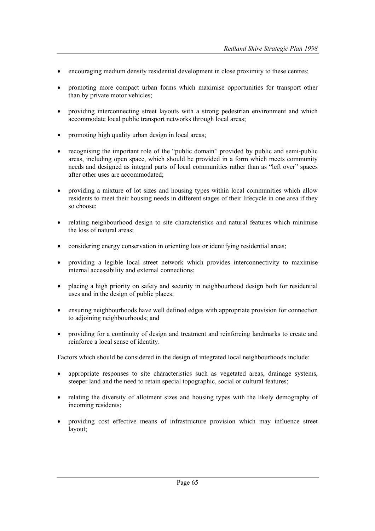- encouraging medium density residential development in close proximity to these centres;
- promoting more compact urban forms which maximise opportunities for transport other than by private motor vehicles;
- providing interconnecting street layouts with a strong pedestrian environment and which accommodate local public transport networks through local areas;
- promoting high quality urban design in local areas;
- recognising the important role of the "public domain" provided by public and semi-public areas, including open space, which should be provided in a form which meets community needs and designed as integral parts of local communities rather than as "left over" spaces after other uses are accommodated;
- providing a mixture of lot sizes and housing types within local communities which allow residents to meet their housing needs in different stages of their lifecycle in one area if they so choose;
- relating neighbourhood design to site characteristics and natural features which minimise the loss of natural areas;
- considering energy conservation in orienting lots or identifying residential areas;
- providing a legible local street network which provides interconnectivity to maximise internal accessibility and external connections;
- placing a high priority on safety and security in neighbourhood design both for residential uses and in the design of public places;
- ensuring neighbourhoods have well defined edges with appropriate provision for connection to adjoining neighbourhoods; and
- providing for a continuity of design and treatment and reinforcing landmarks to create and reinforce a local sense of identity.

Factors which should be considered in the design of integrated local neighbourhoods include:

- appropriate responses to site characteristics such as vegetated areas, drainage systems, steeper land and the need to retain special topographic, social or cultural features;
- relating the diversity of allotment sizes and housing types with the likely demography of incoming residents;
- providing cost effective means of infrastructure provision which may influence street layout;